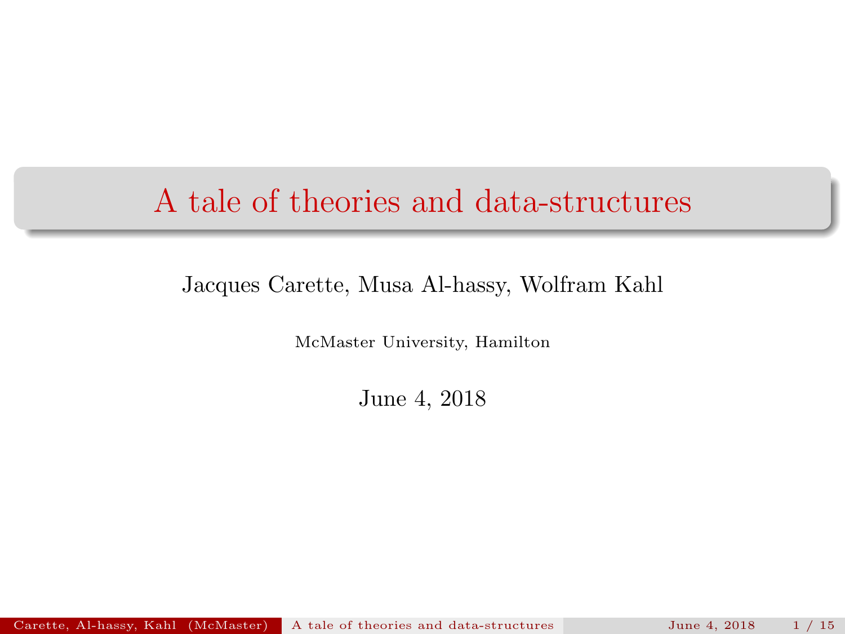### <span id="page-0-0"></span>A tale of theories and data-structures

#### Jacques Carette, Musa Al-hassy, Wolfram Kahl

McMaster University, Hamilton

June 4, 2018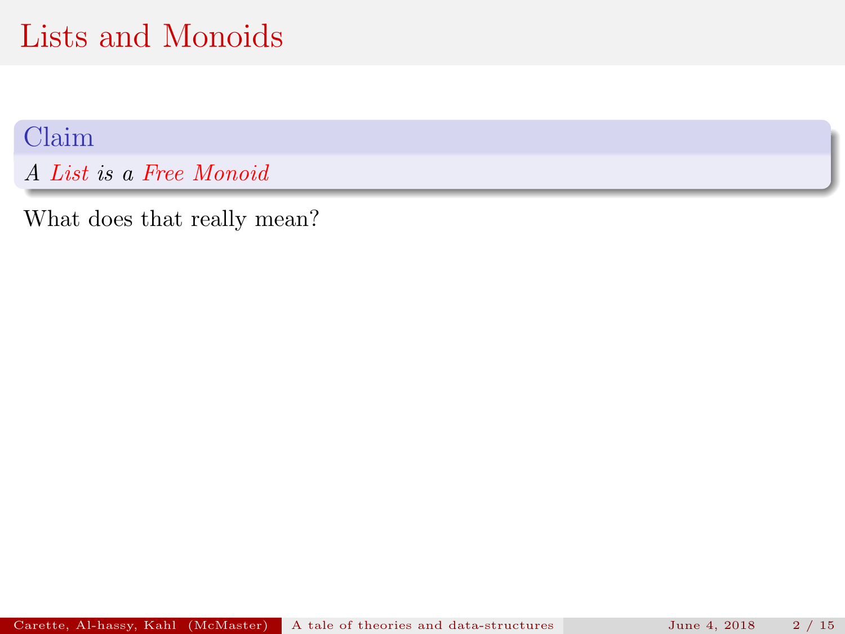Claim

A List is a Free Monoid

What does that really mean?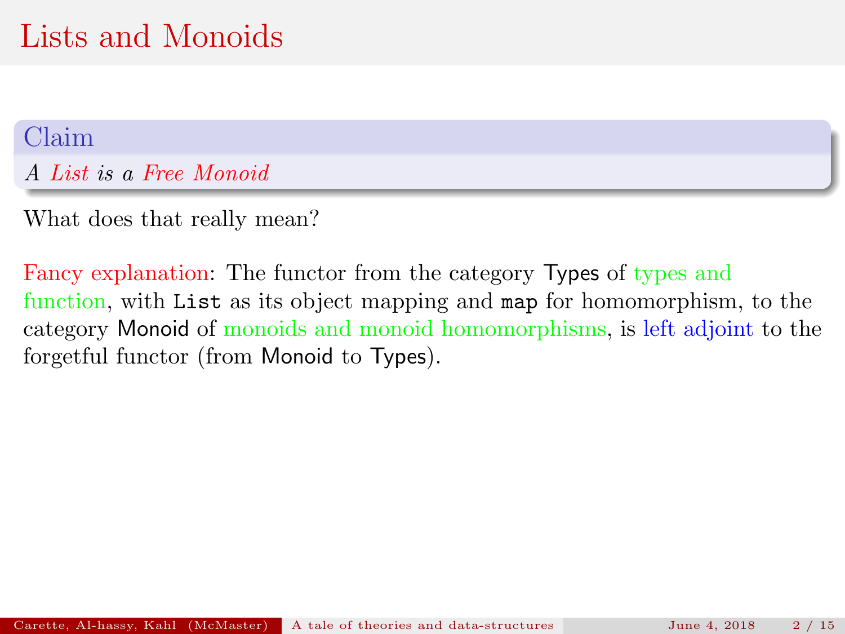#### Claim

A List is a Free Monoid

What does that really mean?

Fancy explanation: The functor from the category Types of types and function, with List as its object mapping and map for homomorphism, to the category Monoid of monoids and monoid homomorphisms, is left adjoint to the forgetful functor (from Monoid to Types).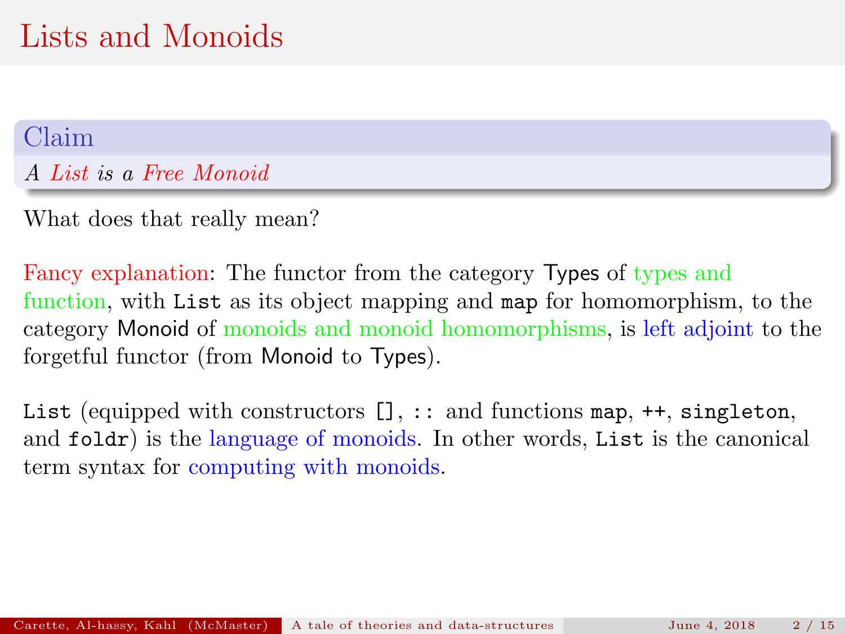#### Claim

A List is a Free Monoid

What does that really mean?

Fancy explanation: The functor from the category Types of types and function, with List as its object mapping and map for homomorphism, to the category Monoid of monoids and monoid homomorphisms, is left adjoint to the forgetful functor (from Monoid to Types).

List (equipped with constructors  $[]$ ,  $::$  and functions map,  $++$ , singleton, and foldr) is the language of monoids. In other words, List is the canonical term syntax for computing with monoids.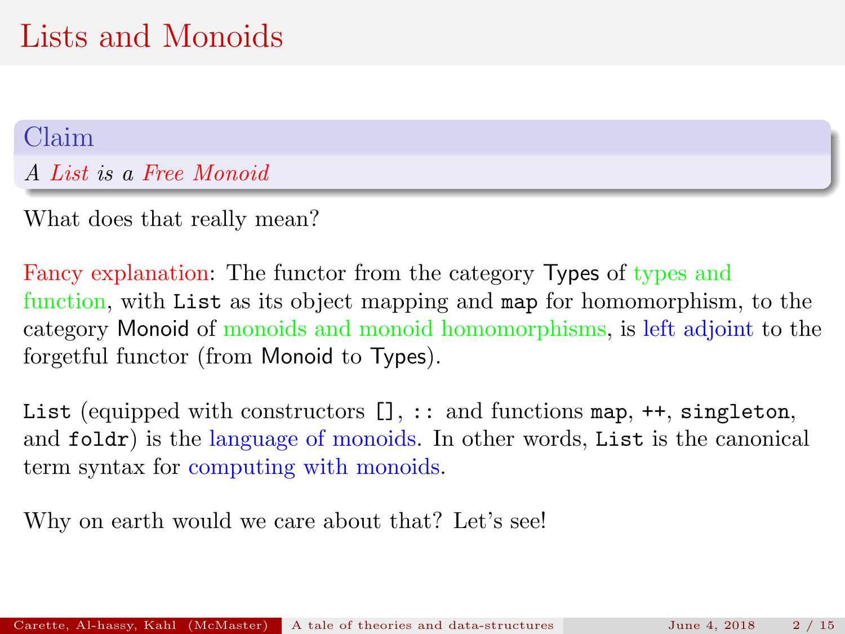#### Claim

A List is a Free Monoid

What does that really mean?

Fancy explanation: The functor from the category Types of types and function, with List as its object mapping and map for homomorphism, to the category Monoid of monoids and monoid homomorphisms, is left adjoint to the forgetful functor (from Monoid to Types).

List (equipped with constructors  $[]$ ,  $::$  and functions map,  $++$ , singleton, and foldr) is the language of monoids. In other words, List is the canonical term syntax for computing with monoids.

Why on earth would we care about that? Let's see!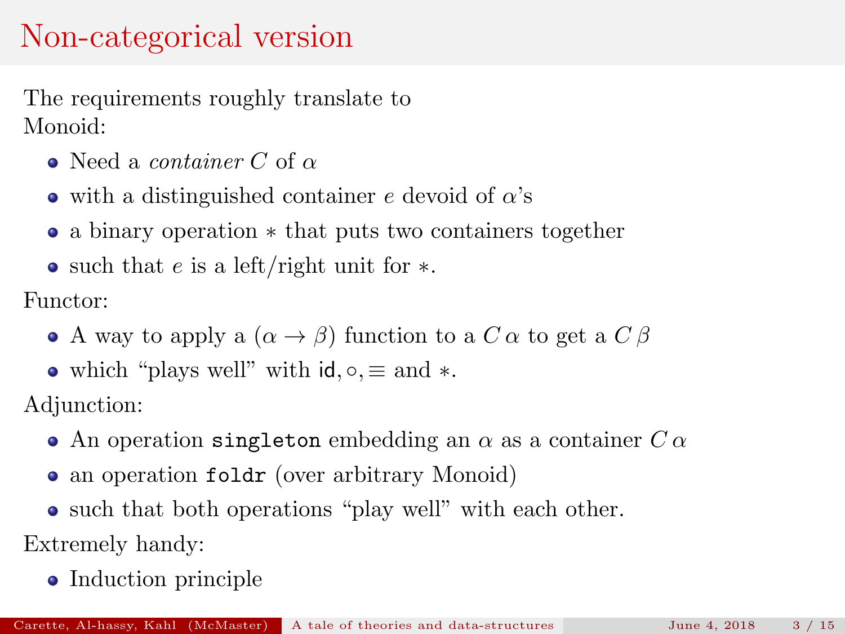### Non-categorical version

The requirements roughly translate to Monoid:

- Need a *container* C of  $\alpha$
- $\bullet$  with a distinguished container e devoid of  $\alpha$ 's
- a binary operation ∗ that puts two containers together
- such that e is a left/right unit for  $\ast$ .

Functor:

- A way to apply a  $(\alpha \rightarrow \beta)$  function to a C  $\alpha$  to get a C  $\beta$
- which "plays well" with  $\mathsf{id}, \circ \equiv \mathsf{and} *$ .

Adjunction:

- An operation singleton embedding an  $\alpha$  as a container  $C \alpha$
- an operation folder (over arbitrary Monoid)
- such that both operations "play well" with each other.

Extremely handy:

• Induction principle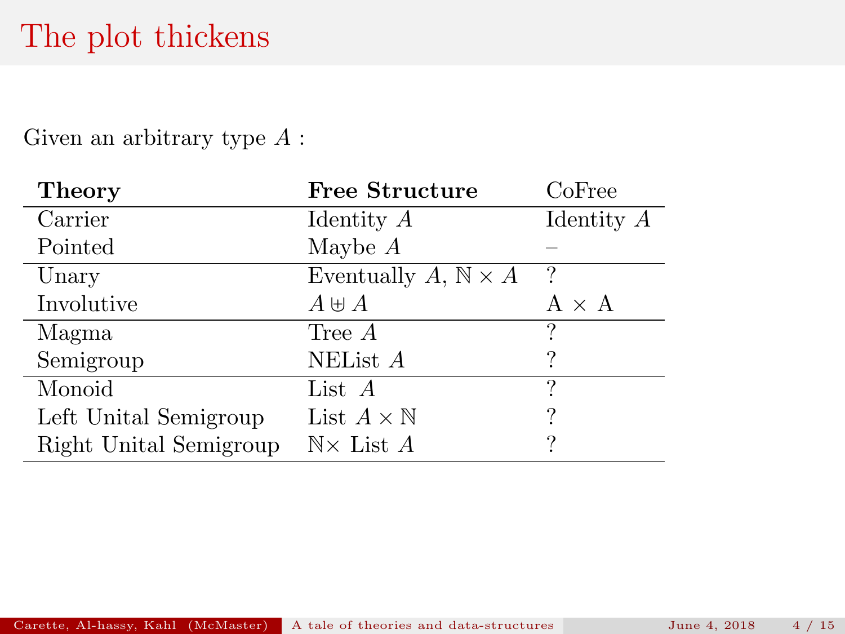### The plot thickens

Given an arbitrary type A :

| <b>Theory</b>          | Free Structure                      | CoFree       |
|------------------------|-------------------------------------|--------------|
| Carrier                | Identity $A$                        | Identity $A$ |
| Pointed                | Maybe $A$                           |              |
| Unary                  | Eventually A, $\mathbb{N} \times A$ | ?            |
| Involutive             | $A \uplus A$                        | $A \times A$ |
| Magma                  | Tree $A$                            | ?            |
| Semigroup              | NEList A                            |              |
| Monoid                 | List $A$                            | ?            |
| Left Unital Semigroup  | List $A \times \mathbb{N}$          | ?            |
| Right Unital Semigroup | $N \times$ List A                   | ?            |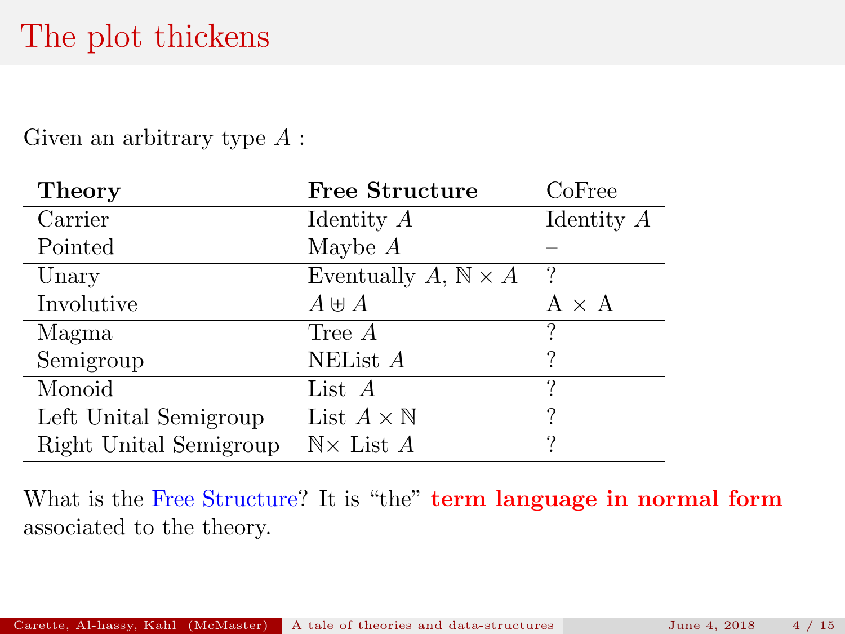### The plot thickens

Given an arbitrary type A :

| <b>Theory</b>          | <b>Free Structure</b>               | CoFree       |
|------------------------|-------------------------------------|--------------|
| Carrier                | Identity $A$                        | Identity $A$ |
| Pointed                | Maybe $A$                           |              |
| Unary                  | Eventually A, $\mathbb{N} \times A$ |              |
| Involutive             | $A \uplus A$                        | $A \times A$ |
| Magma                  | Tree $A$                            | 9            |
| Semigroup              | NEList $A$                          |              |
| Monoid                 | List $A$                            | ?            |
| Left Unital Semigroup  | List $A \times \mathbb{N}$          | ?            |
| Right Unital Semigroup | $\mathbb{N}\times$ List A           | ?            |

What is the Free Structure? It is "the" term language in normal form associated to the theory.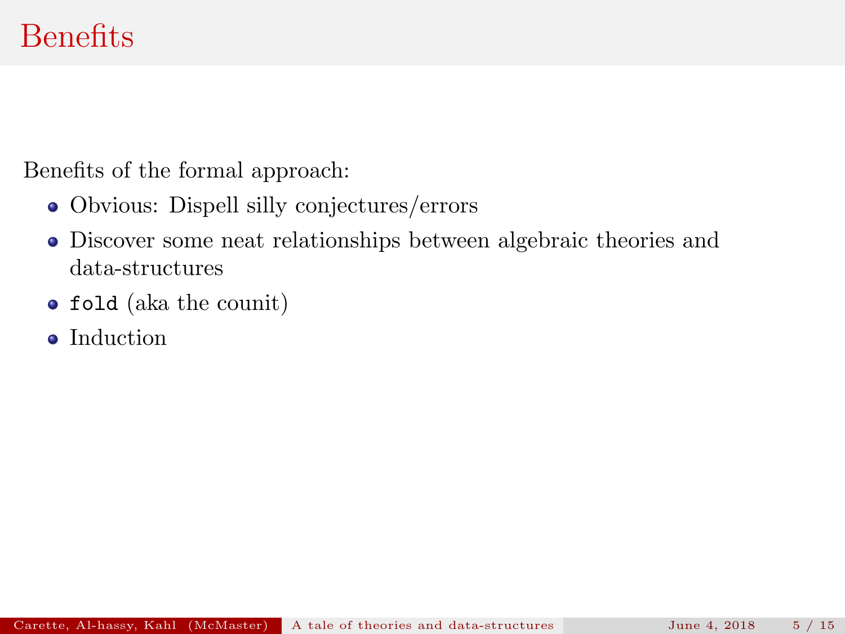Benefits of the formal approach:

- Obvious: Dispell silly conjectures/errors
- Discover some neat relationships between algebraic theories and data-structures
- fold (aka the counit)
- Induction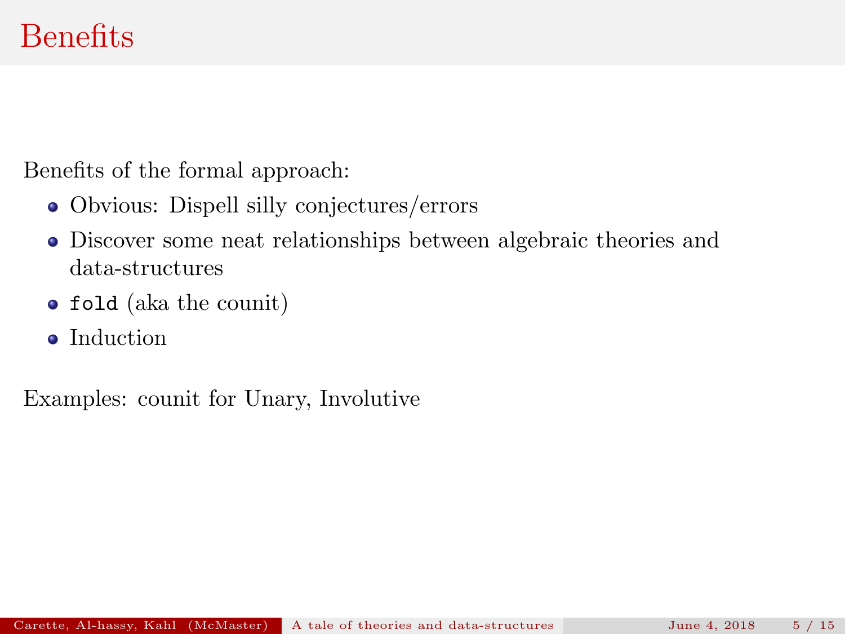Benefits of the formal approach:

- Obvious: Dispell silly conjectures/errors
- Discover some neat relationships between algebraic theories and data-structures
- fold (aka the counit)
- Induction

Examples: counit for Unary, Involutive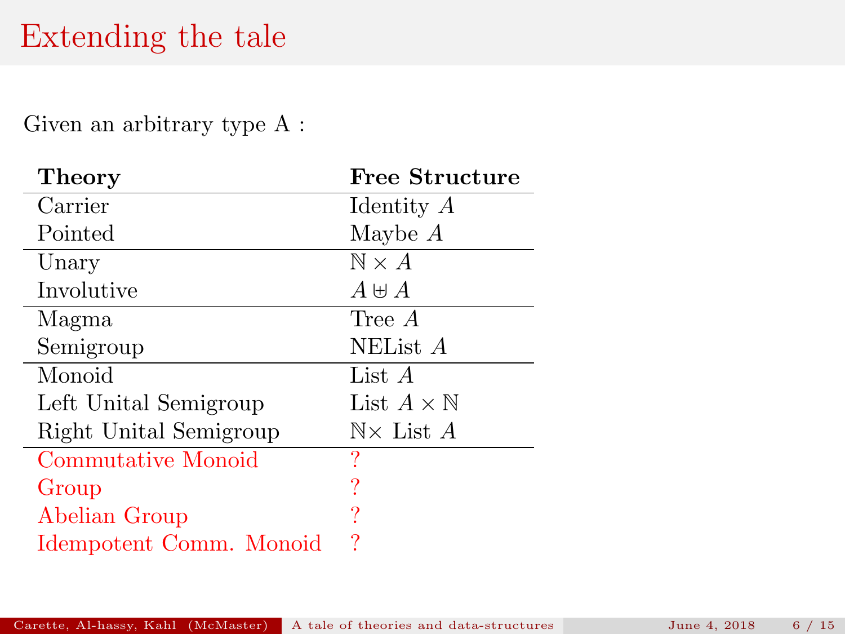### Extending the tale

Given an arbitrary type A :

| Theory                  | <b>Free Structure</b>      |
|-------------------------|----------------------------|
| Carrier                 | Identity A                 |
| Pointed                 | Maybe $A$                  |
| Unary                   | $\mathbb{N} \times A$      |
| Involutive              | $A \boxplus A$             |
| Magma                   | Tree A                     |
| Semigroup               | NEList A                   |
| Monoid                  | List A                     |
| Left Unital Semigroup   | List $A \times \mathbb{N}$ |
| Right Unital Semigroup  | $N \times$ List A          |
| Commutative Monoid      | ?                          |
| Group                   | ?                          |
| Abelian Group           |                            |
| Idempotent Comm. Monoid | ?                          |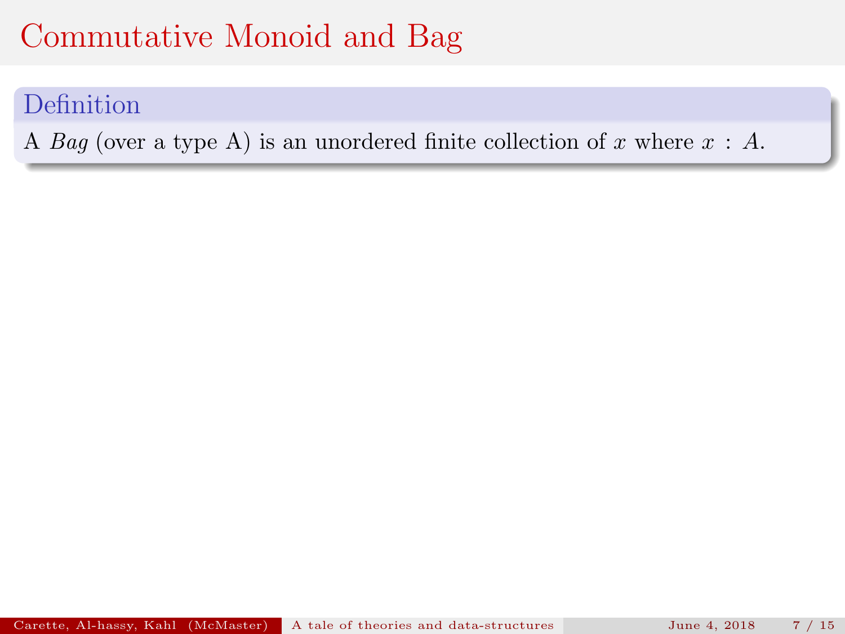#### Definition

A Bag (over a type A) is an unordered finite collection of x where  $x : A$ .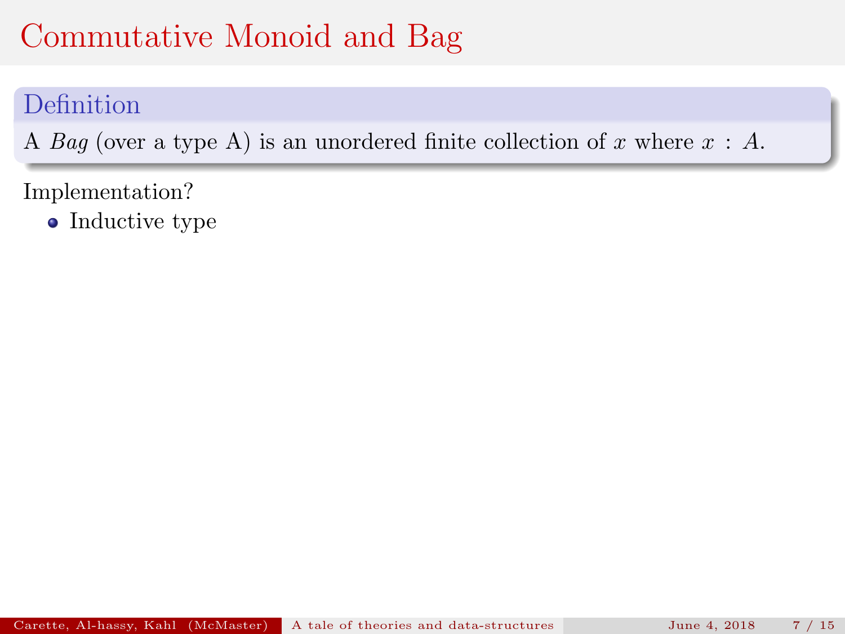#### Definition

A Bag (over a type A) is an unordered finite collection of x where  $x : A$ .

Implementation?

• Inductive type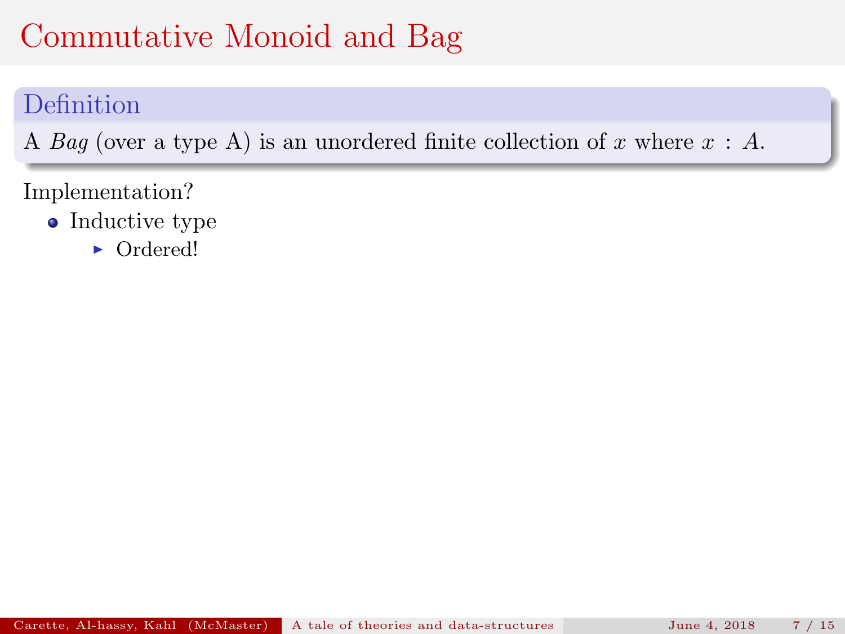#### Definition

A Bag (over a type A) is an unordered finite collection of x where  $x : A$ .

- Inductive type
	- Ordered!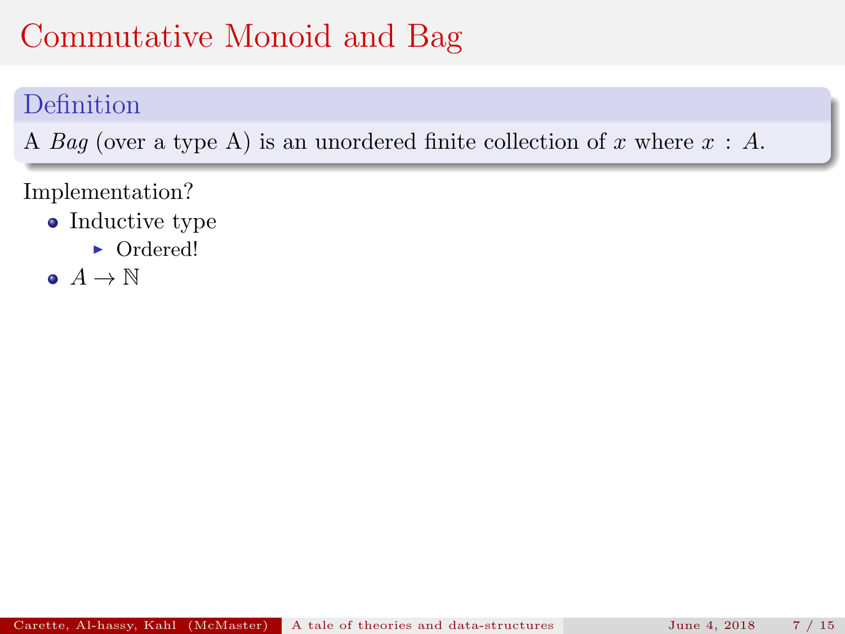#### Definition

A Bag (over a type A) is an unordered finite collection of x where  $x : A$ .

- Inductive type
	- Ordered!
- $\bullet$   $A \to \mathbb{N}$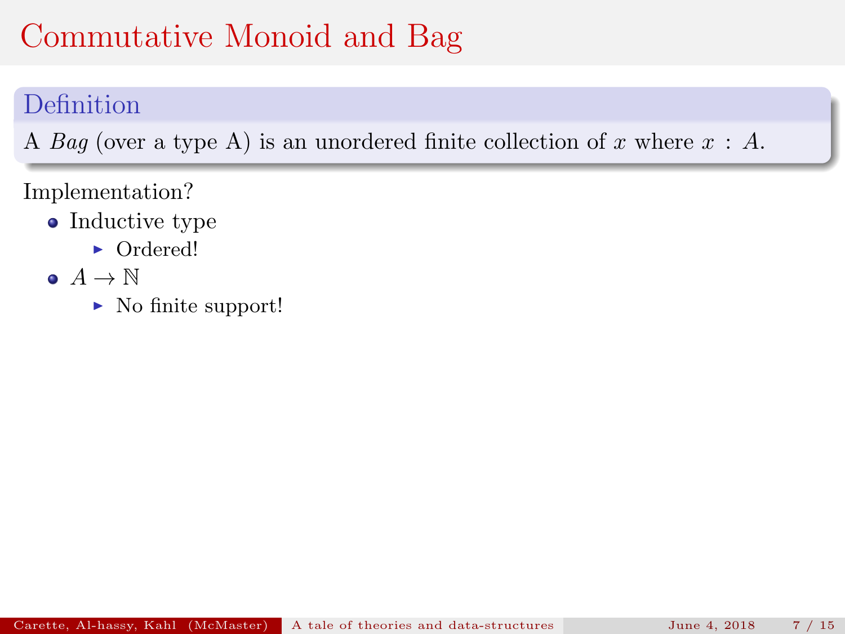### Definition

A Bag (over a type A) is an unordered finite collection of x where  $x : A$ .

- Inductive type
	- Ordered!
- $\bullet$   $A \rightarrow \mathbb{N}$ 
	- $\blacktriangleright$  No finite support!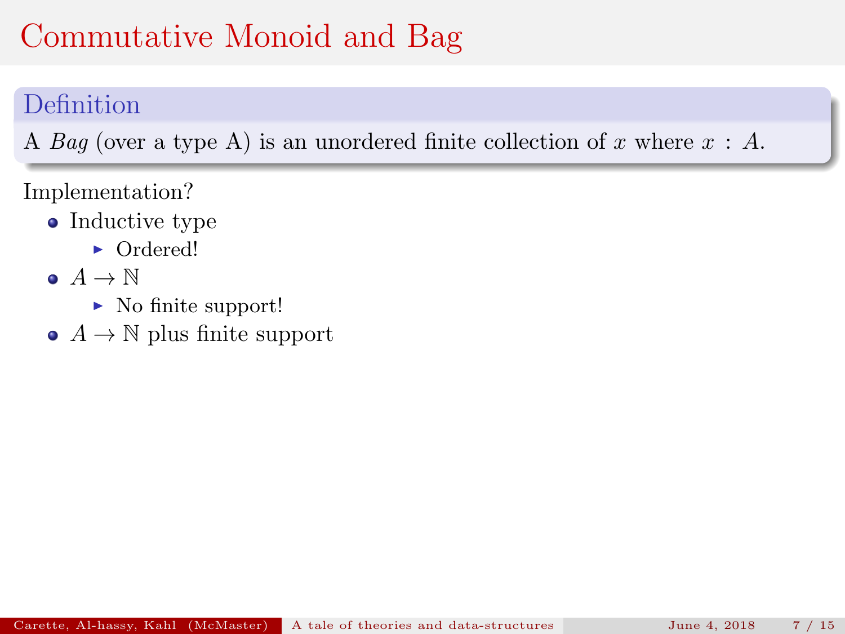### Definition

A Bag (over a type A) is an unordered finite collection of x where  $x : A$ .

- Inductive type
	- Ordered!
- $\bullet$   $A \rightarrow \mathbb{N}$ 
	- $\blacktriangleright$  No finite support!
- $\bullet$  A  $\rightarrow$  N plus finite support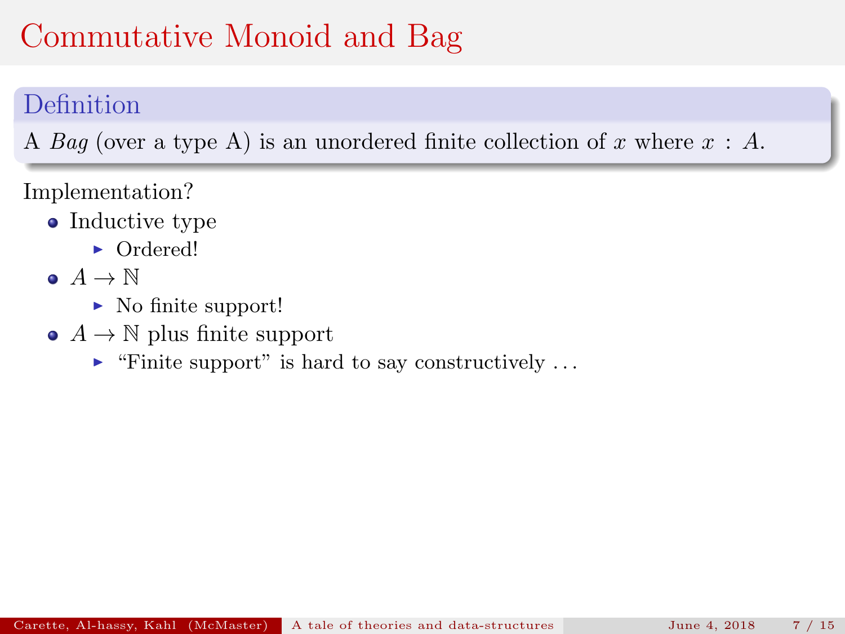### Definition

A Bag (over a type A) is an unordered finite collection of x where  $x : A$ .

- Inductive type
	- Ordered!
- $\bullet$   $A \rightarrow \mathbb{N}$ 
	- $\blacktriangleright$  No finite support!
- $\bullet$  A  $\rightarrow$  N plus finite support
	- $\blacktriangleright$  "Finite support" is hard to say constructively ...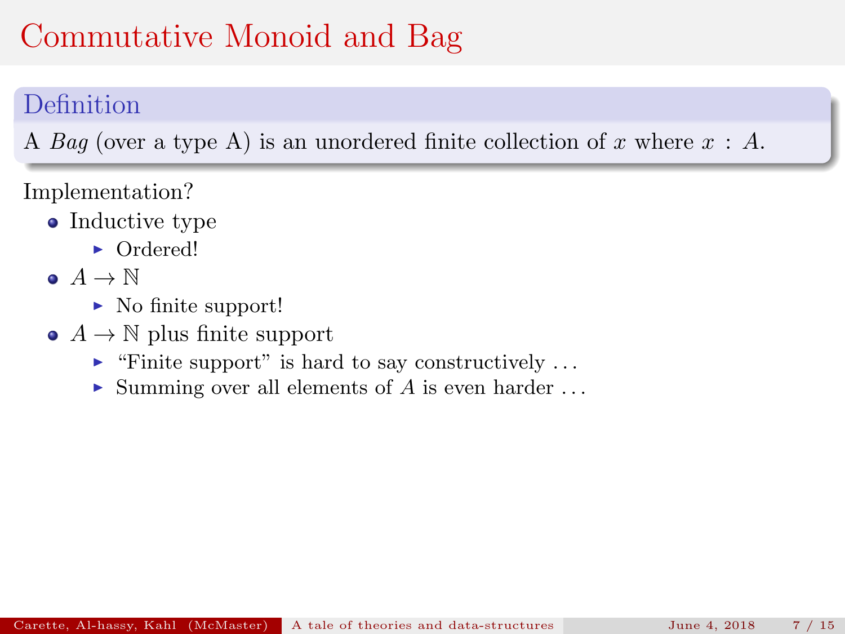### Definition

A Bag (over a type A) is an unordered finite collection of x where  $x : A$ .

- Inductive type
	- Ordered!
- $\bullet$   $A \rightarrow \mathbb{N}$ 
	- $\blacktriangleright$  No finite support!
- $\bullet$  A  $\rightarrow$  N plus finite support
	- $\blacktriangleright$  "Finite support" is hard to say constructively ...
	- $\triangleright$  Summing over all elements of A is even harder ...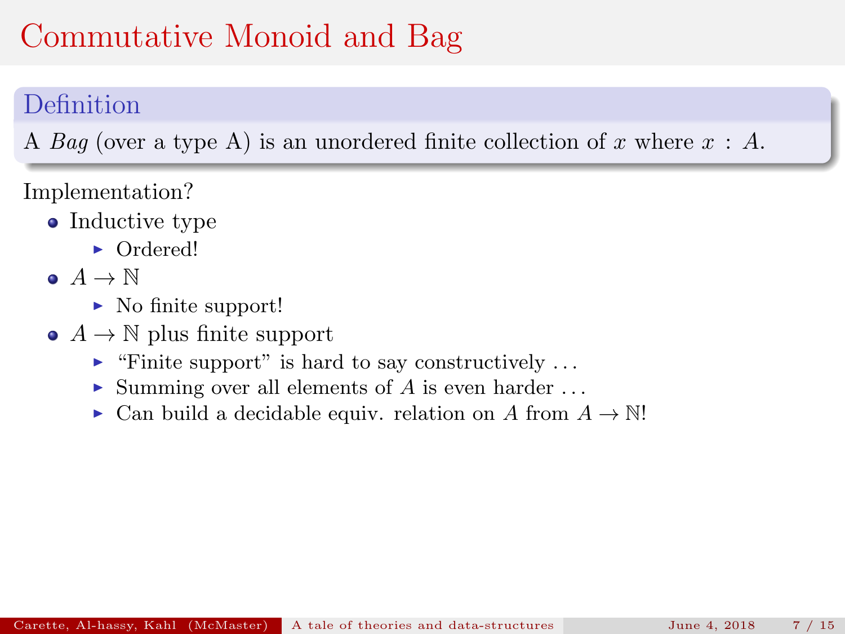#### Definition

A Bag (over a type A) is an unordered finite collection of x where  $x : A$ .

- Inductive type
	- Ordered!
- $\bullet$   $A \rightarrow \mathbb{N}$ 
	- $\blacktriangleright$  No finite support!
- $\bullet$  A  $\rightarrow$  N plus finite support
	- $\blacktriangleright$  "Finite support" is hard to say constructively ...
	- $\triangleright$  Summing over all elements of A is even harder ...
	- $\triangleright$  Can build a decidable equiv. relation on A from  $A \to \mathbb{N}!$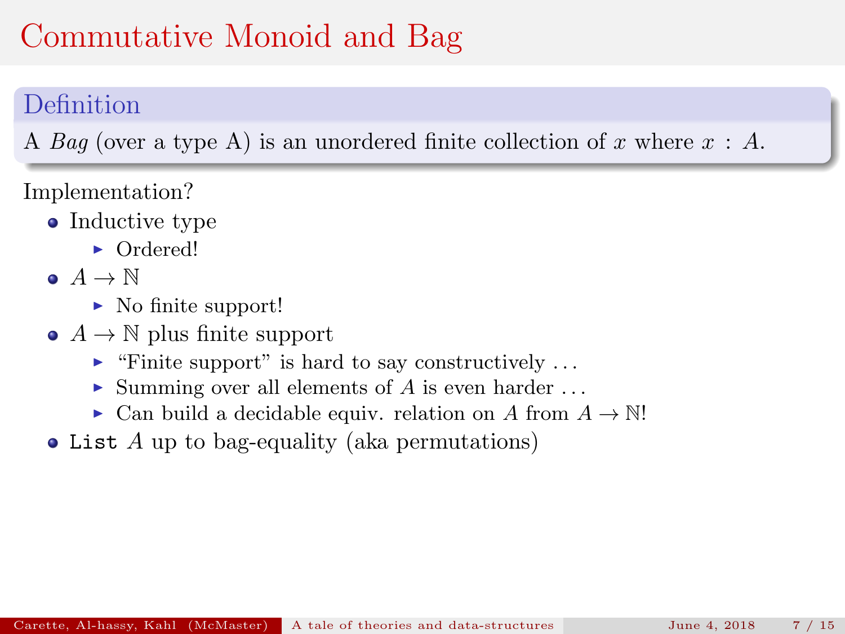### Definition

A Bag (over a type A) is an unordered finite collection of x where  $x : A$ .

- Inductive type
	- Ordered!
- $\bullet$   $A \rightarrow \mathbb{N}$ 
	- $\blacktriangleright$  No finite support!
- $\bullet$  A  $\rightarrow$  N plus finite support
	- $\blacktriangleright$  "Finite support" is hard to say constructively ...
	- $\triangleright$  Summing over all elements of A is even harder ...
	- ► Can build a decidable equiv. relation on A from  $A \to \mathbb{N}!$
- List A up to bag-equality (aka permutations)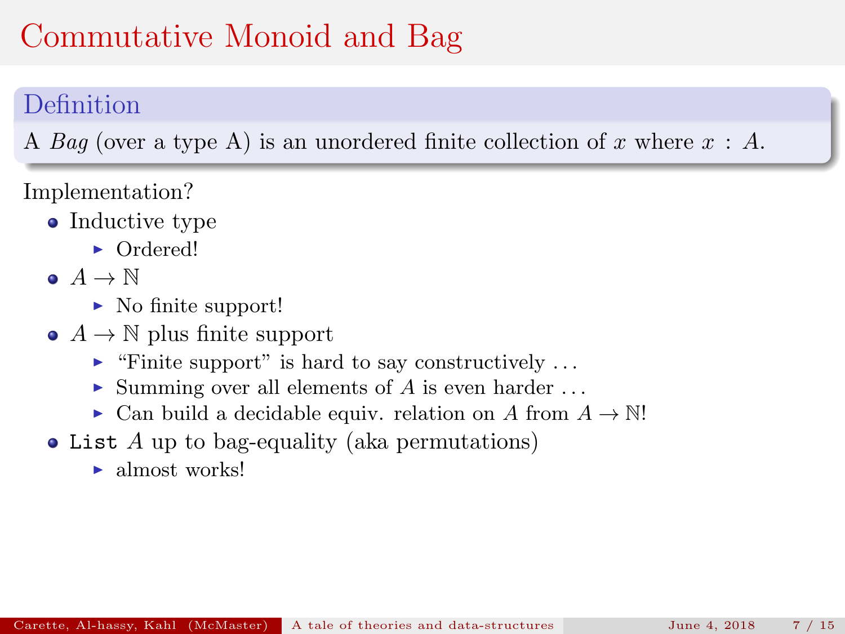### Definition

A Bag (over a type A) is an unordered finite collection of x where  $x : A$ .

- Inductive type
	- Ordered!
- $\bullet$   $A \rightarrow \mathbb{N}$ 
	- $\blacktriangleright$  No finite support!
- $\bullet$  A  $\rightarrow$  N plus finite support
	- $\blacktriangleright$  "Finite support" is hard to say constructively ...
	- $\blacktriangleright$  Summing over all elements of A is even harder ...
	- ► Can build a decidable equiv. relation on A from  $A \to \mathbb{N}!$
- List A up to bag-equality (aka permutations)
	- $\blacktriangleright$  almost works!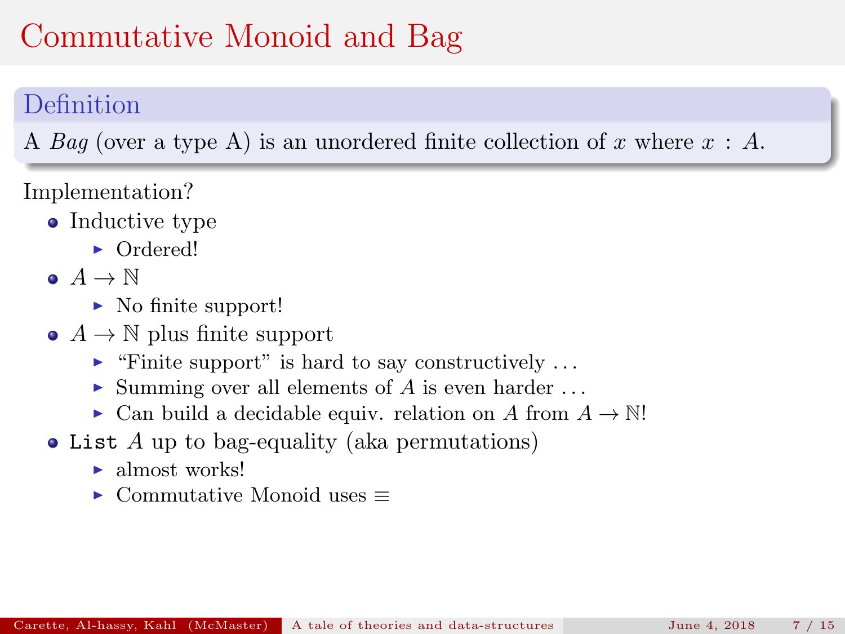### Definition

A Bag (over a type A) is an unordered finite collection of x where  $x : A$ .

- Inductive type
	- Ordered!
- $\bullet$   $A \rightarrow \mathbb{N}$ 
	- $\blacktriangleright$  No finite support!
- $\bullet$  A  $\rightarrow$  N plus finite support
	- $\blacktriangleright$  "Finite support" is hard to say constructively ...
	- $\triangleright$  Summing over all elements of A is even harder ...
	- $\triangleright$  Can build a decidable equiv. relation on A from  $A \to \mathbb{N}!$
- List A up to bag-equality (aka permutations)
	- $\blacktriangleright$  almost works!
	- $\triangleright$  Commutative Monoid uses  $\equiv$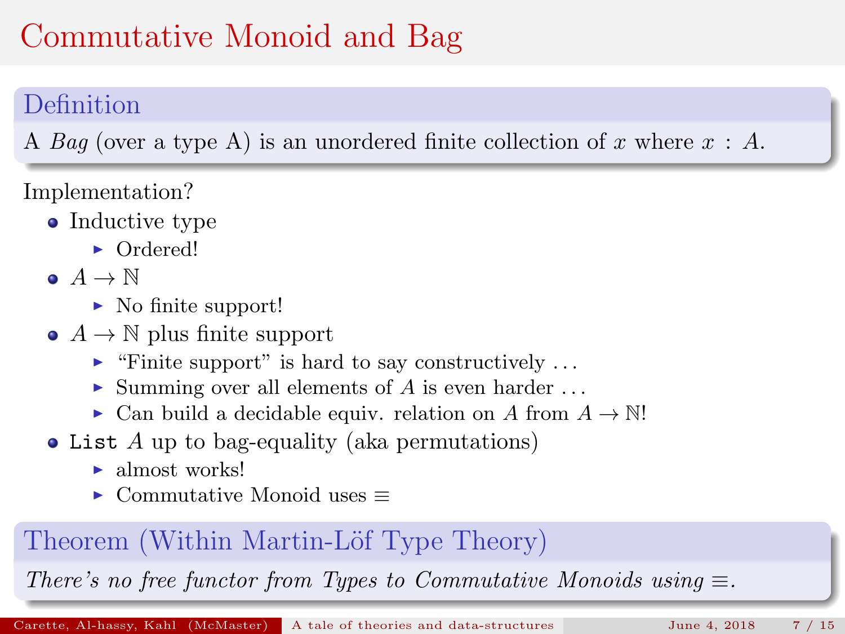### Definition

A Bag (over a type A) is an unordered finite collection of x where  $x : A$ .

Implementation?

- Inductive type
	- Ordered!
- $\bullet$   $A \rightarrow \mathbb{N}$ 
	- $\blacktriangleright$  No finite support!
- $\bullet$  A  $\rightarrow$  N plus finite support
	- $\blacktriangleright$  "Finite support" is hard to say constructively ...
	- $\triangleright$  Summing over all elements of A is even harder ...
	- $\triangleright$  Can build a decidable equiv. relation on A from  $A \to \mathbb{N}!$
- List A up to bag-equality (aka permutations)
	- $\blacktriangleright$  almost works!
	- $\triangleright$  Commutative Monoid uses  $\equiv$

#### Theorem (Within Martin-Löf Type Theory)

There's no free functor from Types to Commutative Monoids using  $\equiv$ .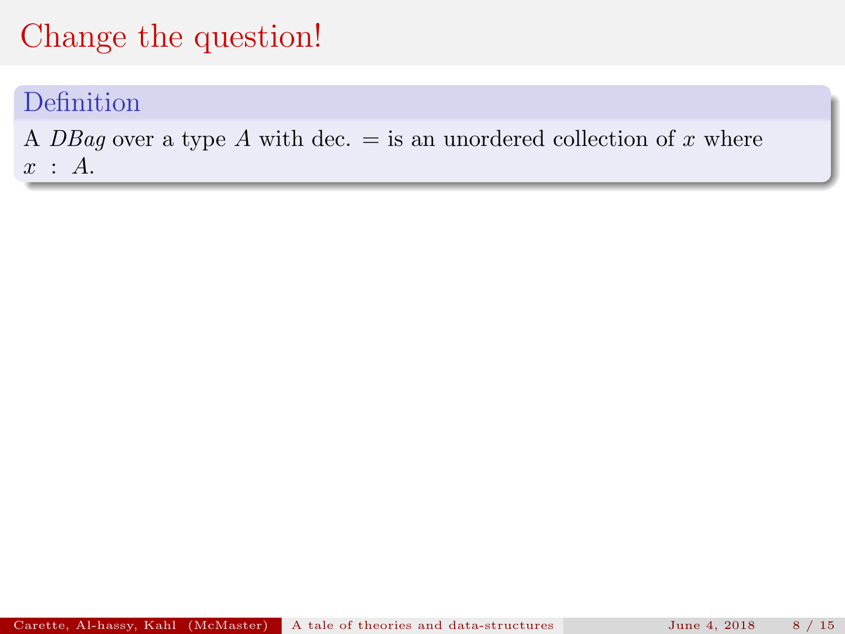#### Definition

A DBag over a type A with dec.  $=$  is an unordered collection of x where  $x : A$ .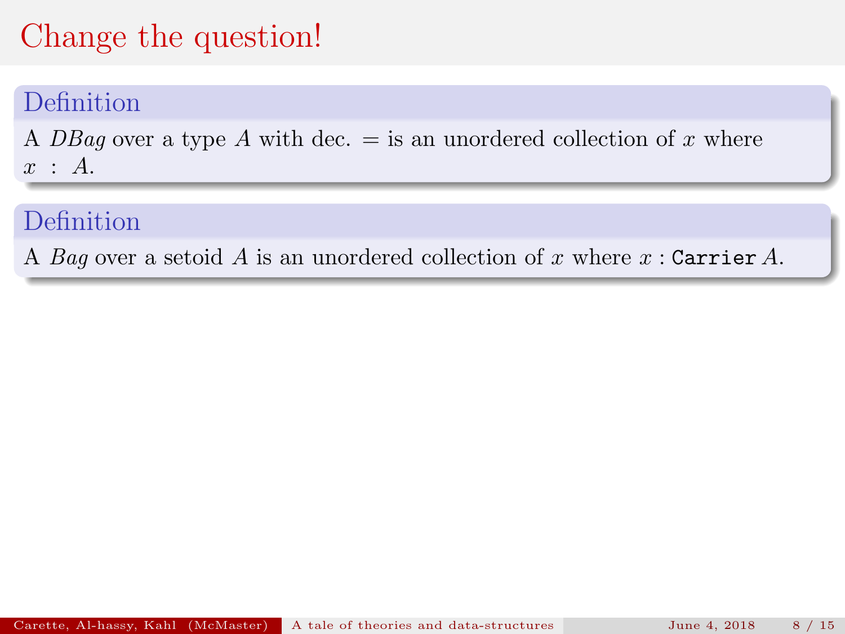#### Definition

A DBag over a type A with dec.  $=$  is an unordered collection of x where  $x : A$ .

#### Definition

A Bag over a setoid A is an unordered collection of x where  $x$ : Carrier A.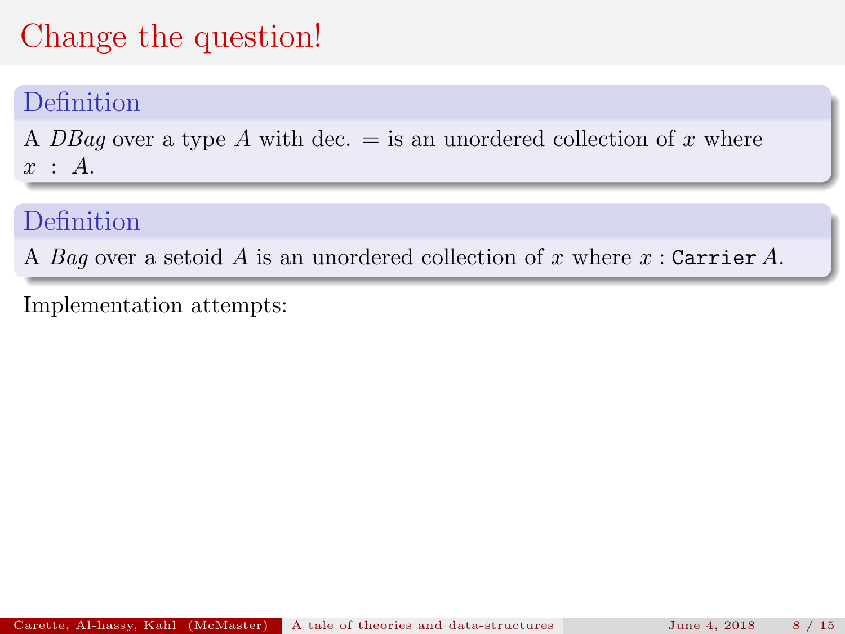#### Definition

A DBag over a type A with dec.  $=$  is an unordered collection of x where  $x : A$ .

### Definition

A Bag over a setoid A is an unordered collection of x where  $x$ : Carrier A.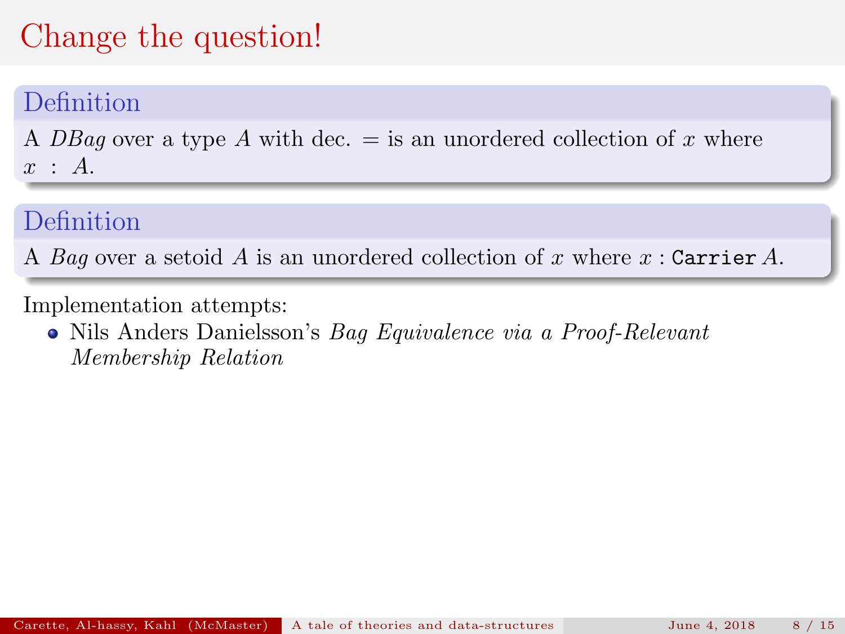#### Definition

A DBag over a type A with dec.  $=$  is an unordered collection of x where  $x : A$ .

#### Definition

A Bag over a setoid A is an unordered collection of x where  $x$ : Carrier A.

Implementation attempts:

Nils Anders Danielsson's Bag Equivalence via a Proof-Relevant Membership Relation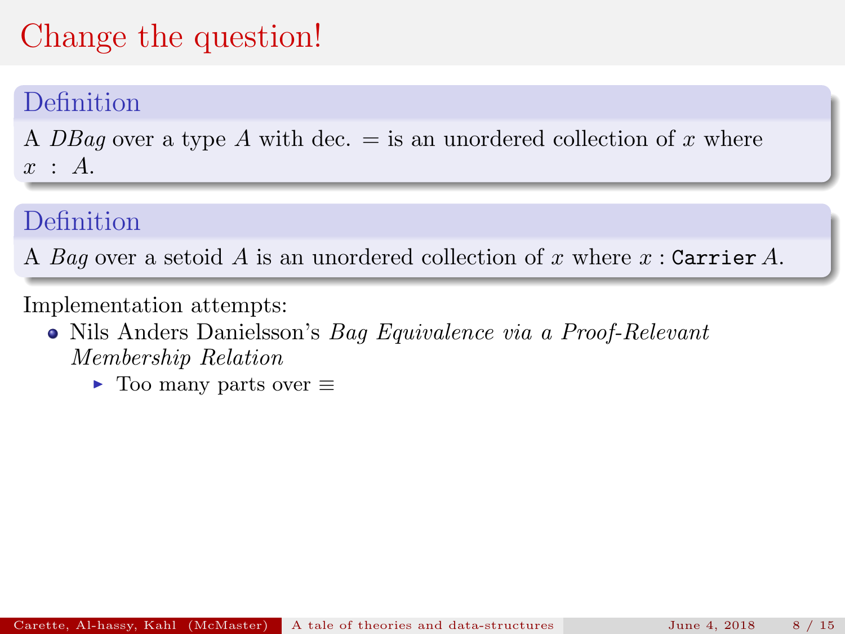#### Definition

A DBag over a type A with dec.  $=$  is an unordered collection of x where  $x : A$ .

### Definition

A Bag over a setoid A is an unordered collection of x where  $x$ : Carrier A.

- Nils Anders Danielsson's Bag Equivalence via a Proof-Relevant Membership Relation
	- $\triangleright$  Too many parts over  $\equiv$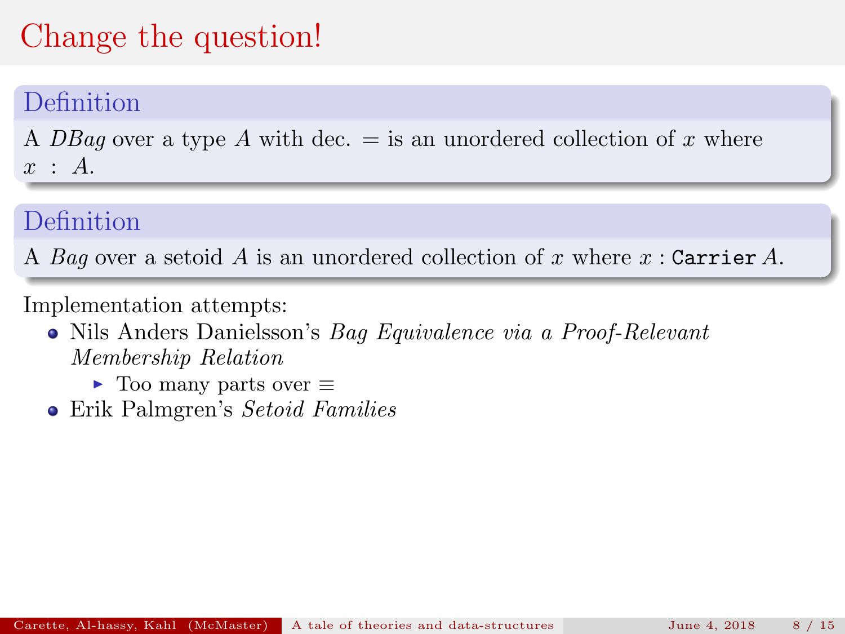#### Definition

A DBag over a type A with dec.  $=$  is an unordered collection of x where  $x : A$ .

#### Definition

A Bag over a setoid A is an unordered collection of x where  $x$ : Carrier A.

- Nils Anders Danielsson's Bag Equivalence via a Proof-Relevant Membership Relation
	- $\triangleright$  Too many parts over  $\equiv$
- Erik Palmgren's Setoid Families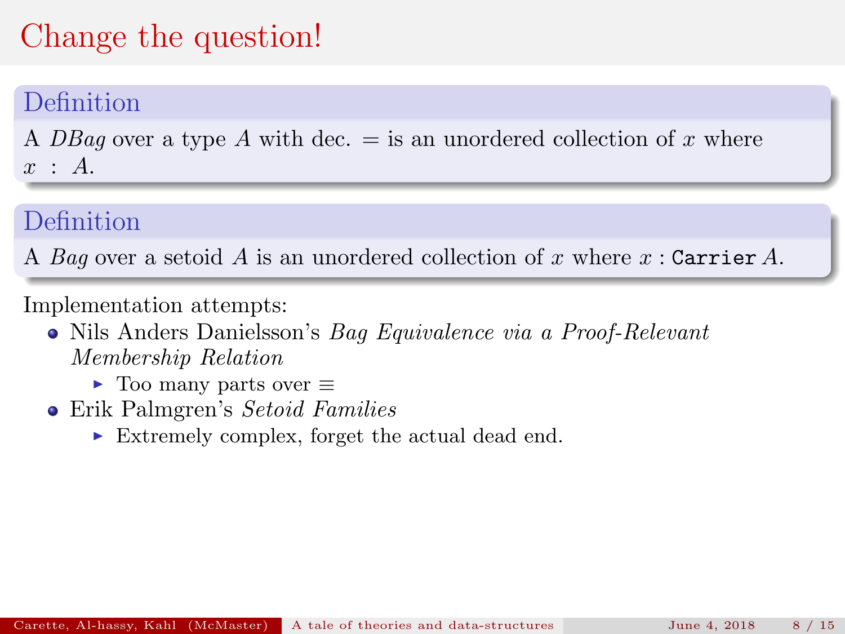#### Definition

A DBag over a type A with dec.  $=$  is an unordered collection of x where  $x : A$ .

#### Definition

A Bag over a setoid A is an unordered collection of x where  $x$ : Carrier A.

- Nils Anders Danielsson's Bag Equivalence via a Proof-Relevant Membership Relation
	- $\triangleright$  Too many parts over  $\equiv$
- Erik Palmgren's Setoid Families
	- $\blacktriangleright$  Extremely complex, forget the actual dead end.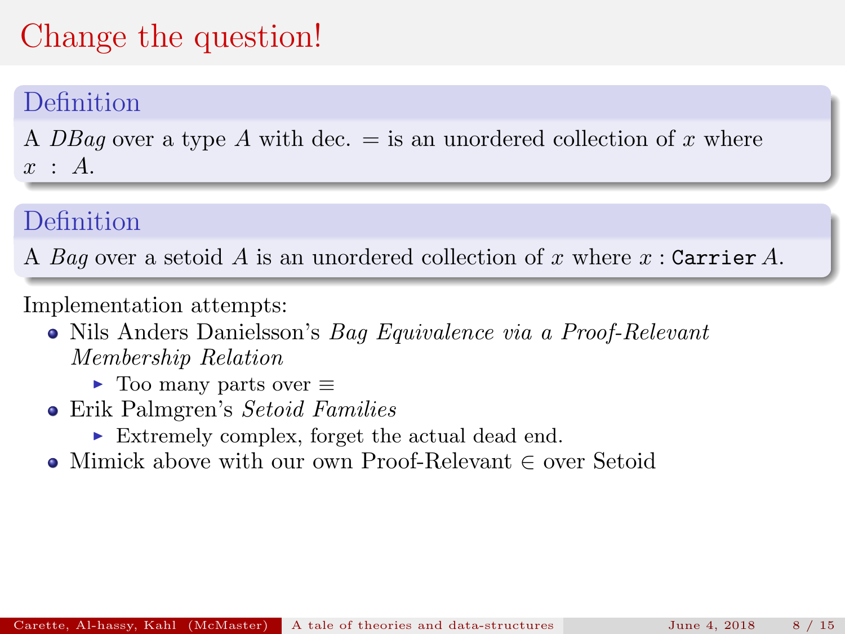#### Definition

A DBag over a type A with dec.  $=$  is an unordered collection of x where  $x : A$ .

### Definition

A Bag over a setoid A is an unordered collection of x where  $x$ : Carrier A.

- Nils Anders Danielsson's Bag Equivalence via a Proof-Relevant Membership Relation
	- $\triangleright$  Too many parts over  $\equiv$
- Erik Palmgren's Setoid Families
	- $\blacktriangleright$  Extremely complex, forget the actual dead end.
- Mimick above with our own Proof-Relevant ∈ over Setoid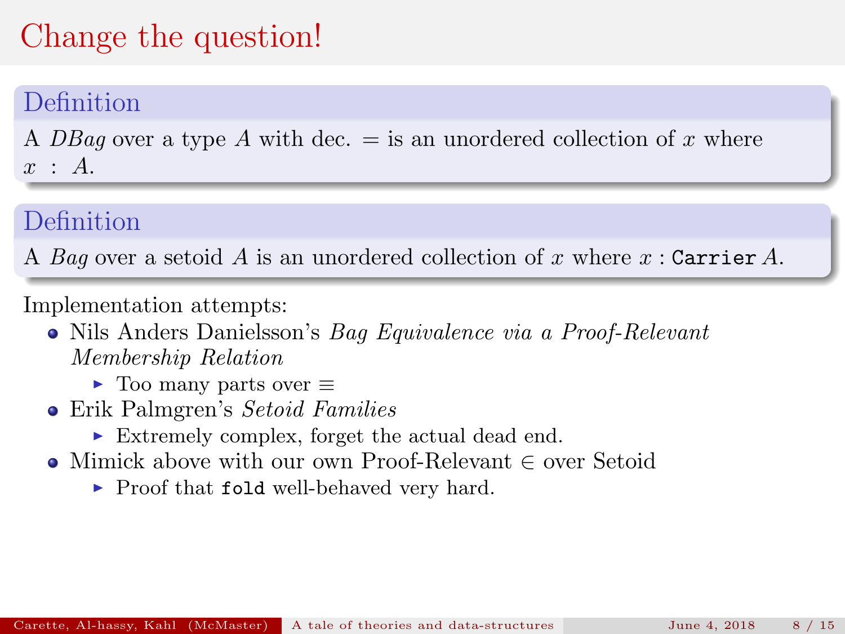#### Definition

A DBag over a type A with dec.  $=$  is an unordered collection of x where  $x : A$ .

### Definition

A Bag over a setoid A is an unordered collection of x where  $x$ : Carrier A.

- Nils Anders Danielsson's Bag Equivalence via a Proof-Relevant Membership Relation
	- $\triangleright$  Too many parts over  $\equiv$
- Erik Palmgren's Setoid Families
	- $\blacktriangleright$  Extremely complex, forget the actual dead end.
- Mimick above with our own Proof-Relevant ∈ over Setoid
	- $\blacktriangleright$  Proof that fold well-behaved very hard.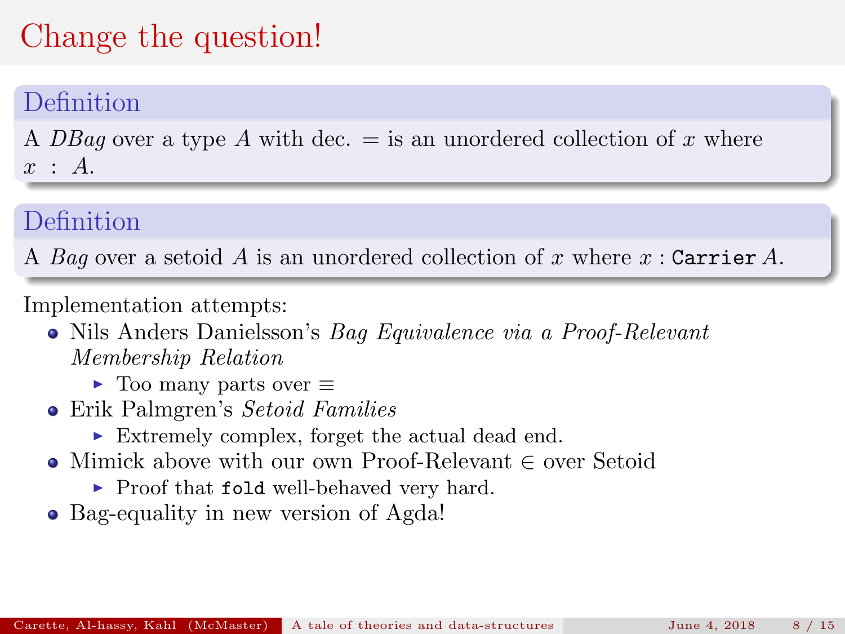#### Definition

A DBag over a type A with dec.  $=$  is an unordered collection of x where  $x : A$ .

### Definition

A Bag over a setoid A is an unordered collection of x where  $x$ : Carrier A.

- Nils Anders Danielsson's Bag Equivalence via a Proof-Relevant Membership Relation
	- $\triangleright$  Too many parts over  $\equiv$
- Erik Palmgren's Setoid Families
	- $\blacktriangleright$  Extremely complex, forget the actual dead end.
- Mimick above with our own Proof-Relevant ∈ over Setoid
	- $\blacktriangleright$  Proof that fold well-behaved very hard.
- Bag-equality in new version of Agda!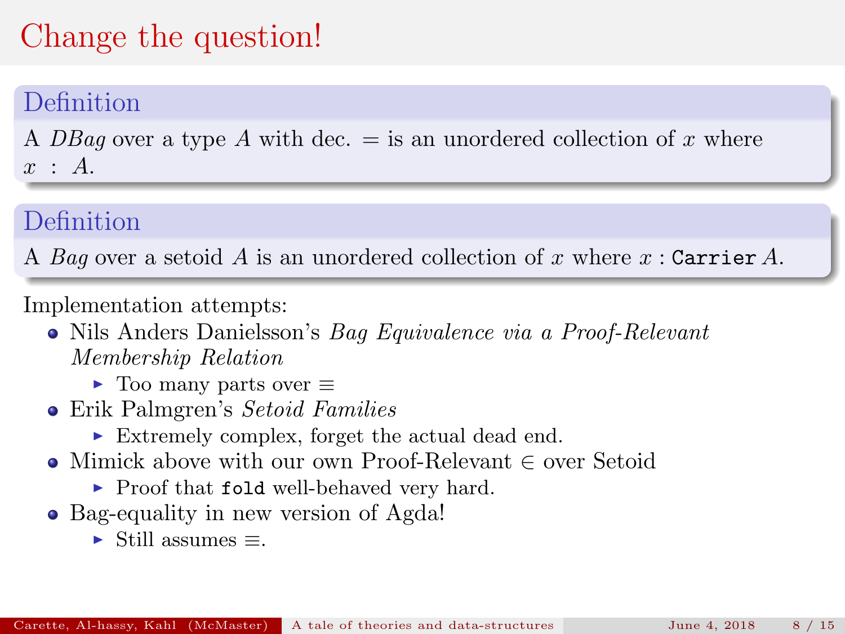#### Definition

A DBag over a type A with dec.  $=$  is an unordered collection of x where  $x : A$ .

### Definition

A Bag over a setoid A is an unordered collection of x where  $x$ : Carrier A.

- Nils Anders Danielsson's Bag Equivalence via a Proof-Relevant Membership Relation
	- $\triangleright$  Too many parts over  $\equiv$
- Erik Palmgren's Setoid Families
	- $\blacktriangleright$  Extremely complex, forget the actual dead end.
- Mimick above with our own Proof-Relevant ∈ over Setoid
	- $\blacktriangleright$  Proof that fold well-behaved very hard.
- Bag-equality in new version of Agda!
	- $\blacktriangleright$  Still assumes  $\equiv$ .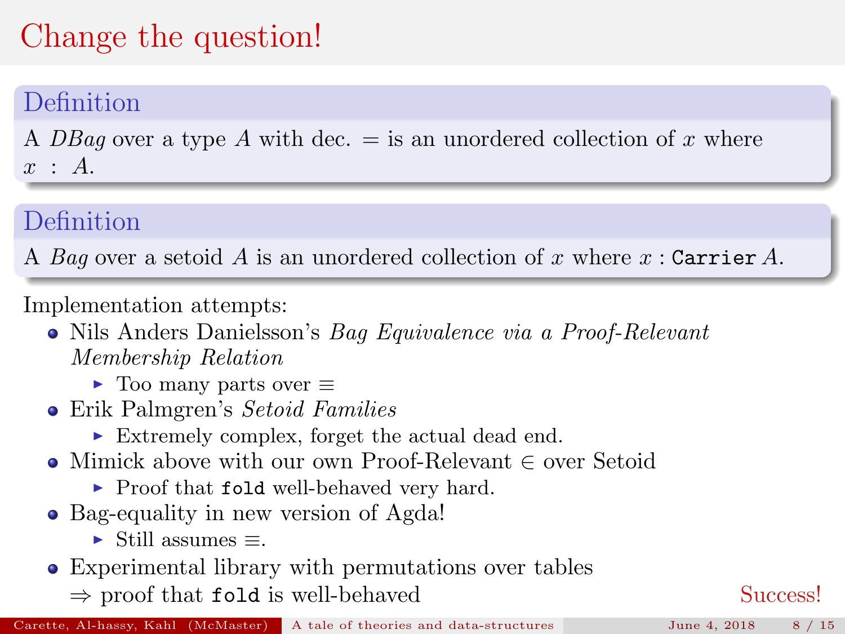#### Definition

A DBag over a type A with dec.  $=$  is an unordered collection of x where  $x : A$ .

### Definition

A Bag over a setoid A is an unordered collection of x where  $x$ : Carrier A.

- Nils Anders Danielsson's Bag Equivalence via a Proof-Relevant Membership Relation
	- $\triangleright$  Too many parts over  $\equiv$
- Erik Palmgren's Setoid Families
	- $\blacktriangleright$  Extremely complex, forget the actual dead end.
- Mimick above with our own Proof-Relevant ∈ over Setoid
	- $\blacktriangleright$  Proof that fold well-behaved very hard.
- Bag-equality in new version of Agda!
	- $\blacktriangleright$  Still assumes  $\equiv$ .
- Experimental library with permutations over tables
	- $\Rightarrow$  proof that fold is well-behaved Success!

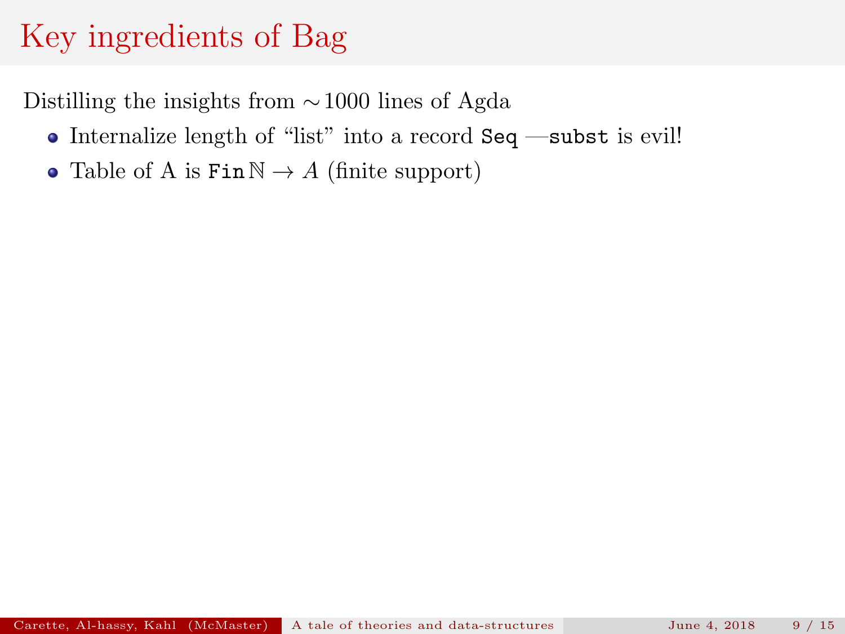- Internalize length of "list" into a record Seq —subst is evil!
- Table of A is  $\text{Fin}\,\mathbb{N} \to A$  (finite support)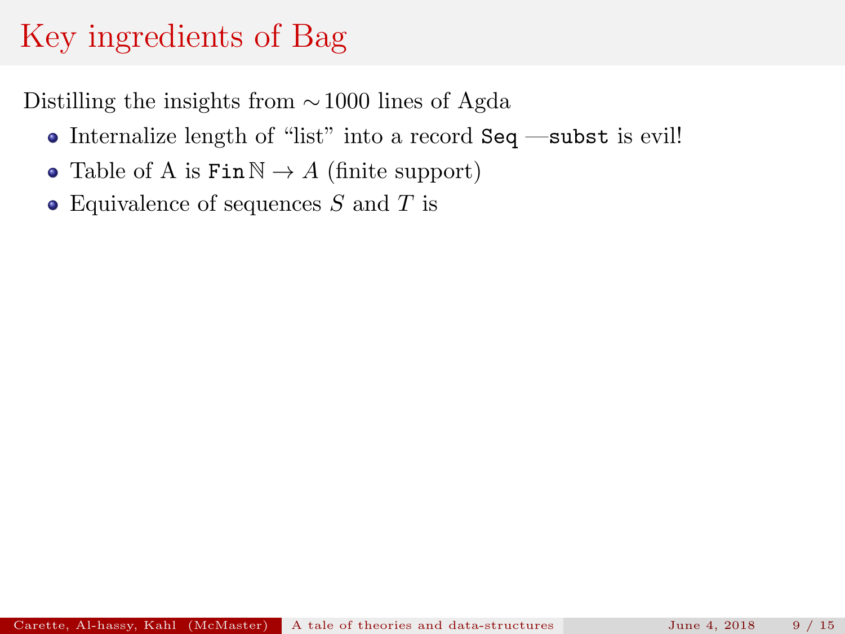- Internalize length of "list" into a record Seq —subst is evil!
- Table of A is  $\text{Fin}\,\mathbb{N} \to A$  (finite support)
- Equivalence of sequences  $S$  and  $T$  is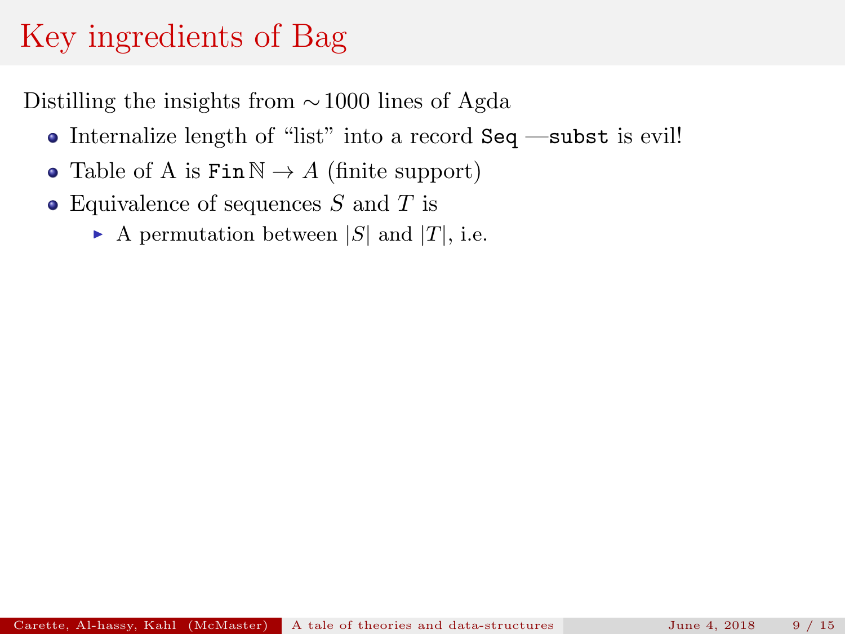- Internalize length of "list" into a record Seq —subst is evil!
- Table of A is  $\text{Fin}\,\mathbb{N} \to A$  (finite support)
- Equivalence of sequences  $S$  and  $T$  is
	- A permutation between  $|S|$  and  $|T|$ , i.e.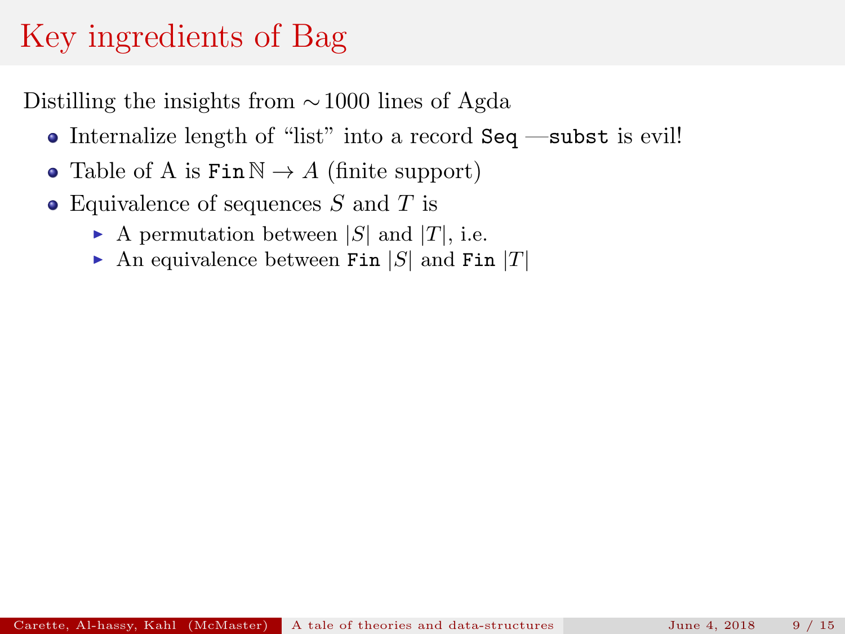- Internalize length of "list" into a record Seq —subst is evil!
- Table of A is  $\text{Fin}\,\mathbb{N} \to A$  (finite support)
- Equivalence of sequences  $S$  and  $T$  is
	- A permutation between  $|S|$  and  $|T|$ , i.e.
	- An equivalence between Fin  $|S|$  and Fin  $|T|$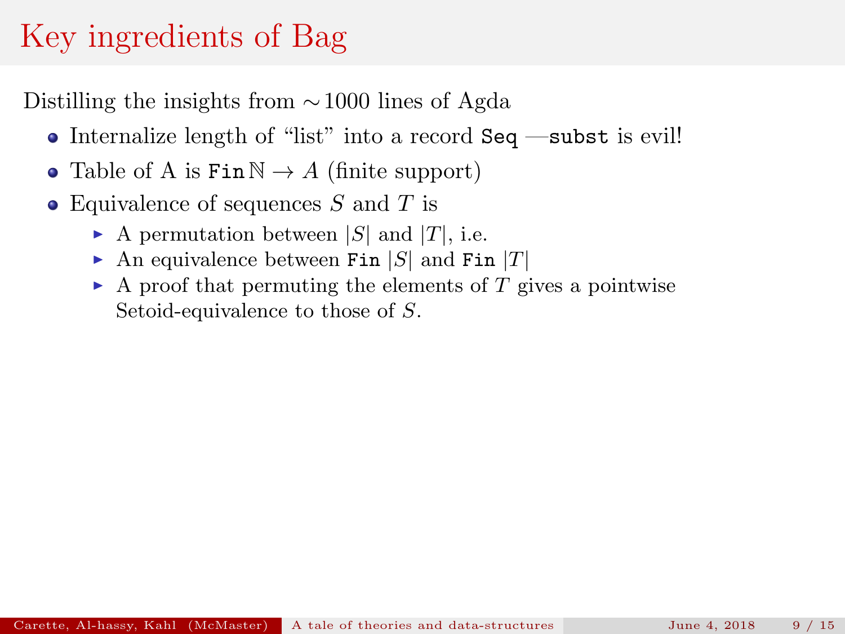- Internalize length of "list" into a record Seq —subst is evil!
- Table of A is  $\text{Fin}\,\mathbb{N} \to A$  (finite support)
- Equivalence of sequences  $S$  and  $T$  is
	- A permutation between  $|S|$  and  $|T|$ , i.e.
	- An equivalence between Fin  $|S|$  and Fin  $|T|$
	- $\blacktriangleright$  A proof that permuting the elements of T gives a pointwise Setoid-equivalence to those of S.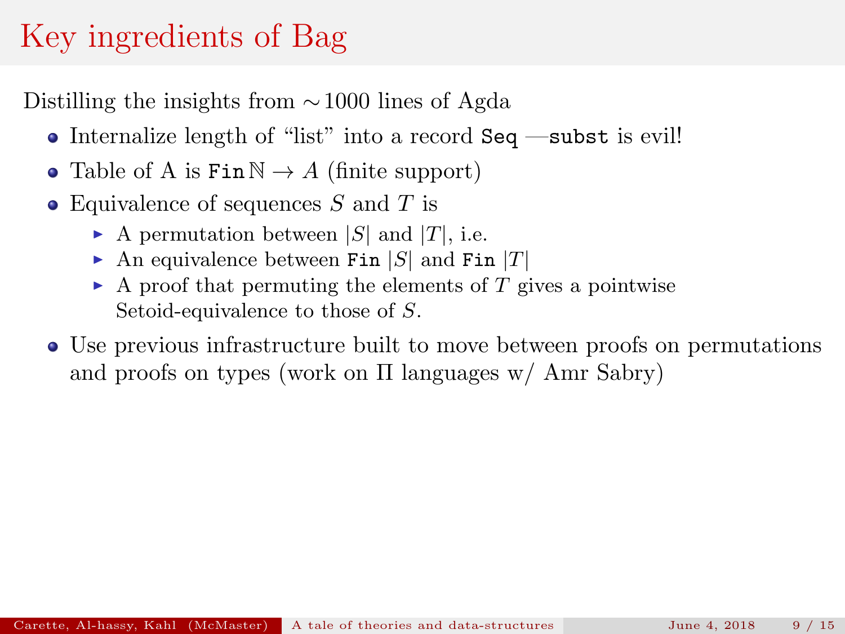- Internalize length of "list" into a record Seq —subst is evil!
- Table of A is  $\text{Fin}\,\mathbb{N} \to A$  (finite support)
- Equivalence of sequences  $S$  and  $T$  is
	- A permutation between  $|S|$  and  $|T|$ , i.e.
	- An equivalence between Fin  $|S|$  and Fin  $|T|$
	- $\blacktriangleright$  A proof that permuting the elements of T gives a pointwise Setoid-equivalence to those of S.
- Use previous infrastructure built to move between proofs on permutations and proofs on types (work on  $\Pi$  languages w/ Amr Sabry)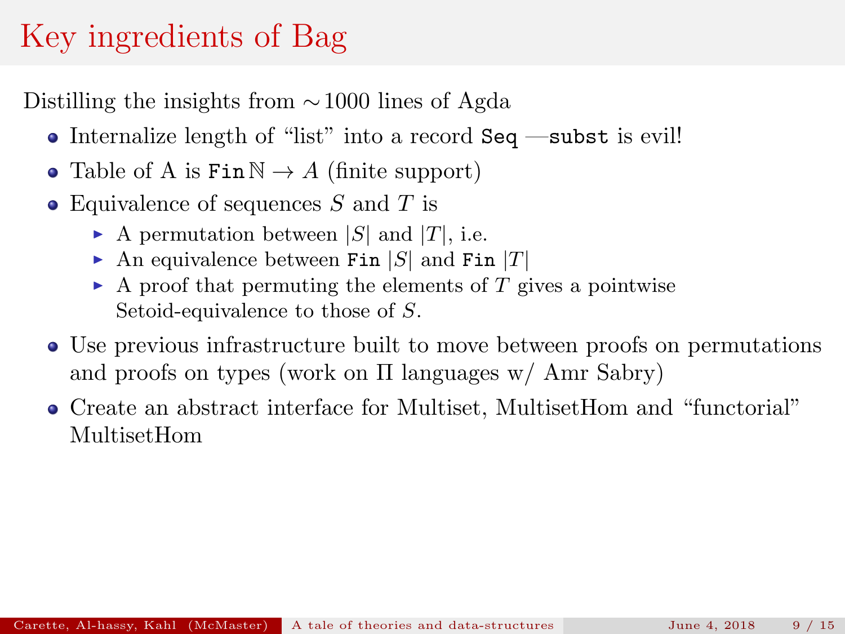- Internalize length of "list" into a record Seq —subst is evil!
- Table of A is  $\text{Fin}\,\mathbb{N} \to A$  (finite support)
- Equivalence of sequences  $S$  and  $T$  is
	- A permutation between  $|S|$  and  $|T|$ , i.e.
	- An equivalence between Fin  $|S|$  and Fin  $|T|$
	- $\blacktriangleright$  A proof that permuting the elements of T gives a pointwise Setoid-equivalence to those of S.
- Use previous infrastructure built to move between proofs on permutations and proofs on types (work on Π languages w/ Amr Sabry)
- Create an abstract interface for Multiset, MultisetHom and "functorial" MultisetHom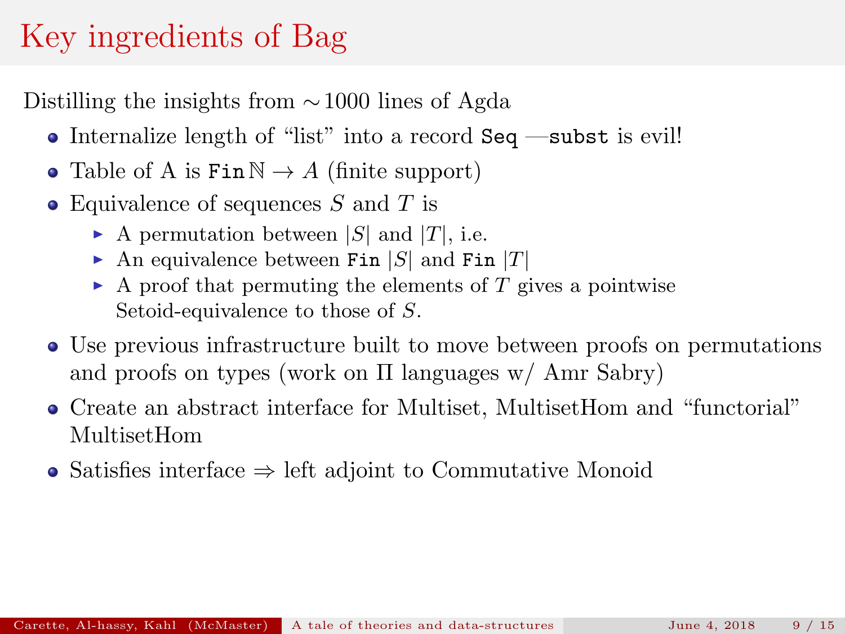- Internalize length of "list" into a record Seq —subst is evil!
- Table of A is  $\text{Fin}\,\mathbb{N} \to A$  (finite support)
- Equivalence of sequences  $S$  and  $T$  is
	- A permutation between  $|S|$  and  $|T|$ , i.e.
	- An equivalence between Fin  $|S|$  and Fin  $|T|$
	- $\blacktriangleright$  A proof that permuting the elements of T gives a pointwise Setoid-equivalence to those of S.
- Use previous infrastructure built to move between proofs on permutations and proofs on types (work on Π languages w/ Amr Sabry)
- Create an abstract interface for Multiset, MultisetHom and "functorial" MultisetHom
- Satisfies interface  $\Rightarrow$  left adjoint to Commutative Monoid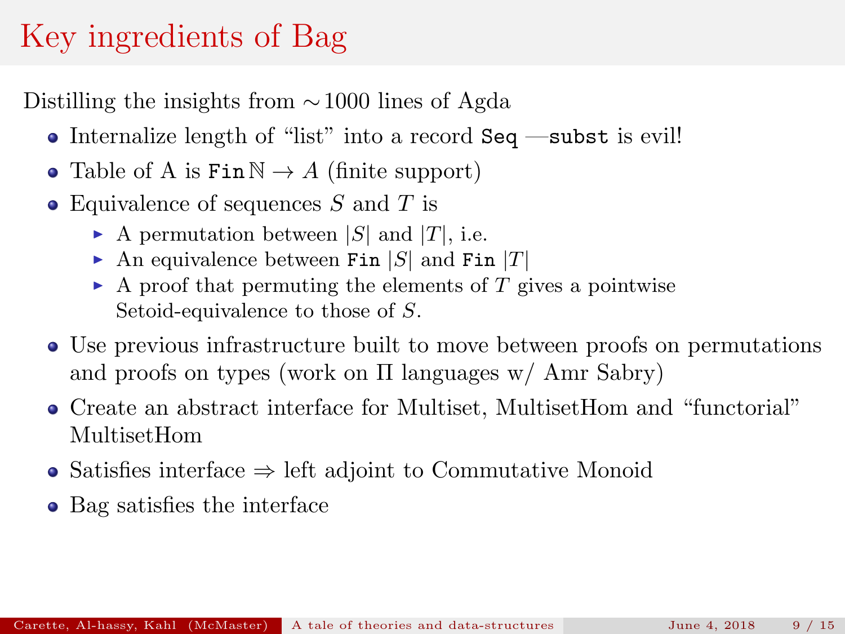- Internalize length of "list" into a record Seq —subst is evil!
- Table of A is  $\text{Fin}\,\mathbb{N} \to A$  (finite support)
- Equivalence of sequences  $S$  and  $T$  is
	- A permutation between  $|S|$  and  $|T|$ , i.e.
	- An equivalence between Fin  $|S|$  and Fin  $|T|$
	- $\blacktriangleright$  A proof that permuting the elements of T gives a pointwise Setoid-equivalence to those of S.
- Use previous infrastructure built to move between proofs on permutations and proofs on types (work on Π languages w/ Amr Sabry)
- Create an abstract interface for Multiset, MultisetHom and "functorial" MultisetHom
- Satisfies interface  $\Rightarrow$  left adjoint to Commutative Monoid
- Bag satisfies the interface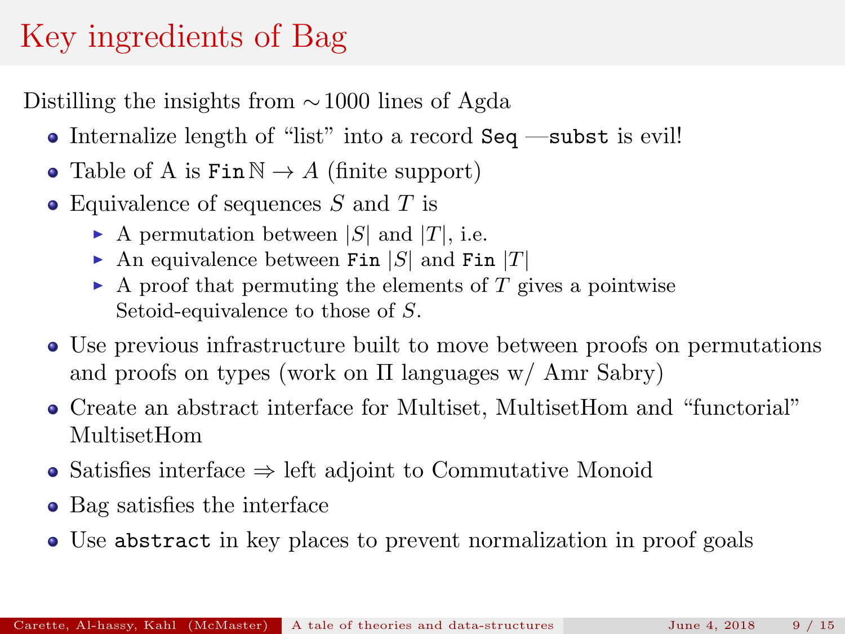- Internalize length of "list" into a record Seq —subst is evil!
- Table of A is  $\text{Fin}\,\mathbb{N} \to A$  (finite support)
- Equivalence of sequences  $S$  and  $T$  is
	- A permutation between  $|S|$  and  $|T|$ , i.e.
	- An equivalence between Fin  $|S|$  and Fin  $|T|$
	- $\blacktriangleright$  A proof that permuting the elements of T gives a pointwise Setoid-equivalence to those of S.
- Use previous infrastructure built to move between proofs on permutations and proofs on types (work on Π languages w/ Amr Sabry)
- Create an abstract interface for Multiset, MultisetHom and "functorial" MultisetHom
- Satisfies interface  $\Rightarrow$  left adjoint to Commutative Monoid
- Bag satisfies the interface
- Use abstract in key places to prevent normalization in proof goals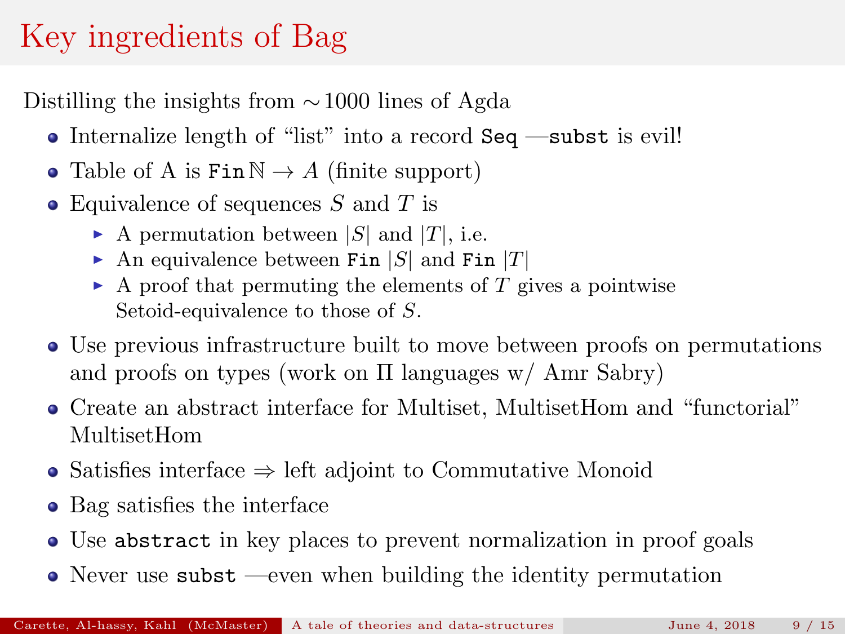- Internalize length of "list" into a record Seq —subst is evil!
- Table of A is  $\text{Fin}\,\mathbb{N} \to A$  (finite support)
- Equivalence of sequences  $S$  and  $T$  is
	- A permutation between  $|S|$  and  $|T|$ , i.e.
	- An equivalence between Fin  $|S|$  and Fin  $|T|$
	- $\blacktriangleright$  A proof that permuting the elements of T gives a pointwise Setoid-equivalence to those of S.
- Use previous infrastructure built to move between proofs on permutations and proofs on types (work on Π languages w/ Amr Sabry)
- Create an abstract interface for Multiset, MultisetHom and "functorial" MultisetHom
- Satisfies interface ⇒ left adjoint to Commutative Monoid
- Bag satisfies the interface
- Use abstract in key places to prevent normalization in proof goals
- $\bullet$  Never use subst —even when building the identity permutation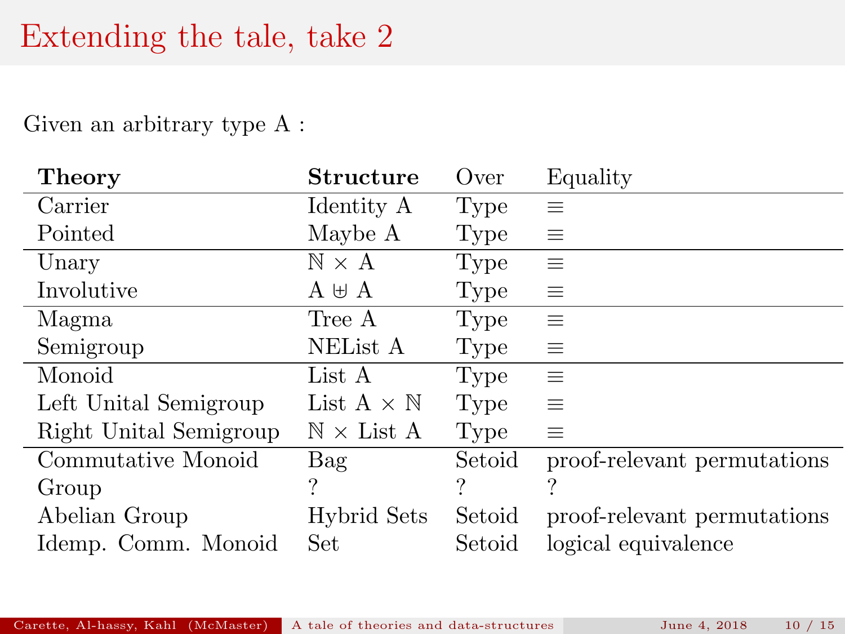### Extending the tale, take 2

Given an arbitrary type A :

| Theory                 | Structure                      | Over   | Equality                    |
|------------------------|--------------------------------|--------|-----------------------------|
| Carrier                | Identity A                     | Type   | 亖                           |
| Pointed                | Maybe A                        | Type   | $\equiv$                    |
| Unary                  | $\mathbb{N} \times \mathbb{A}$ | Type   | $\equiv$                    |
| Involutive             | $A \oplus A$                   | Type   | $\equiv$                    |
| Magma                  | Tree A                         | Type   | $\equiv$                    |
| Semigroup              | NEList A                       | Type   | $\equiv$                    |
| Monoid                 | List A                         | Type   | $\equiv$                    |
| Left Unital Semigroup  | List $A \times N$              | Type   | $\equiv$                    |
| Right Unital Semigroup | $\mathbb{N} \times$ List A     | Type   | $\equiv$                    |
| Commutative Monoid     | Bag                            | Setoid | proof-relevant permutations |
| Group                  | $\boldsymbol{\gamma}$          |        | ?                           |
| Abelian Group          | Hybrid Sets                    | Setoid | proof-relevant permutations |
| Idemp. Comm. Monoid    | Set                            | Setoid | logical equivalence         |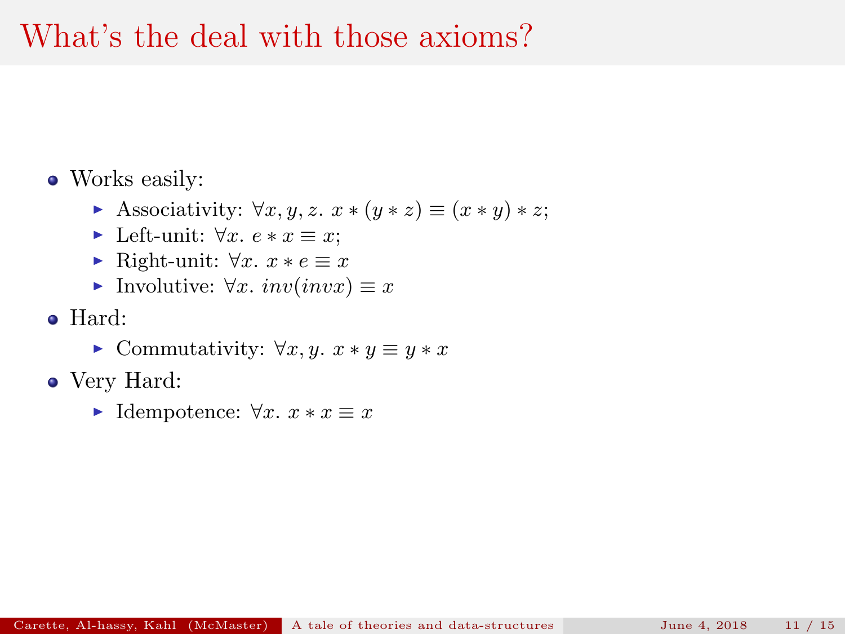### What's the deal with those axioms?

#### • Works easily:

- Associativity:  $\forall x, y, z$ .  $x * (y * z) \equiv (x * y) * z;$
- ► Left-unit:  $\forall x. e * x \equiv x;$
- $\triangleright$  Right-unit:  $\forall x. x * e \equiv x$
- Involutive:  $\forall x. \; inv(invx) \equiv x$
- Hard:
	- ► Commutativity:  $\forall x, y$ .  $x * y \equiv y * x$
- Very Hard:
	- ► Idempotence:  $\forall x. x * x \equiv x$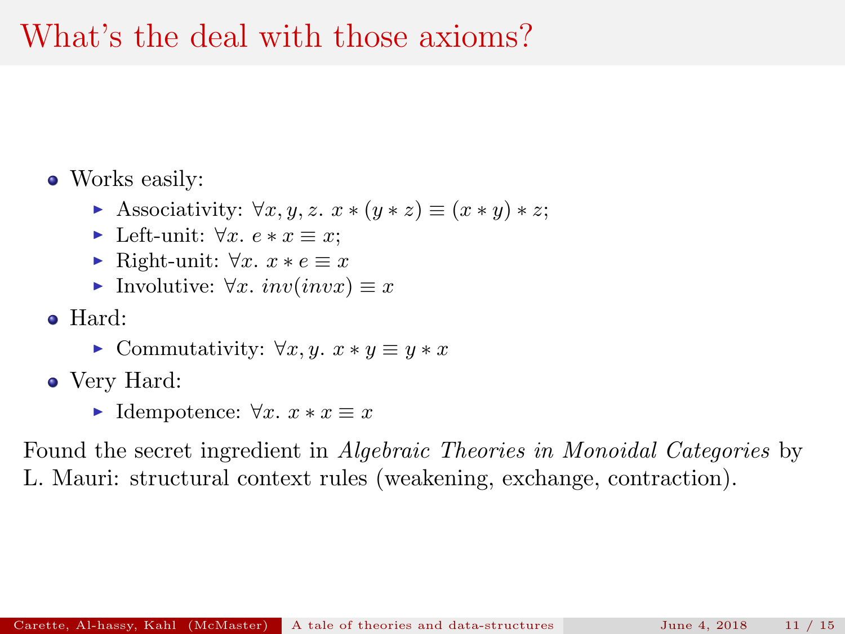### What's the deal with those axioms?

#### • Works easily:

- Associativity:  $\forall x, y, z$ .  $x * (y * z) \equiv (x * y) * z;$
- ► Left-unit:  $\forall x. e * x \equiv x;$
- $\triangleright$  Right-unit:  $\forall x. x * e \equiv x$
- Involutive:  $\forall x. \; inv(invx) \equiv x$
- Hard:
	- $\triangleright$  Commutativity:  $\forall x, y$ .  $x * y \equiv y * x$
- Very Hard:
	- $\triangleright$  Idempotence:  $\forall x. x * x \equiv x$

Found the secret ingredient in Algebraic Theories in Monoidal Categories by L. Mauri: structural context rules (weakening, exchange, contraction).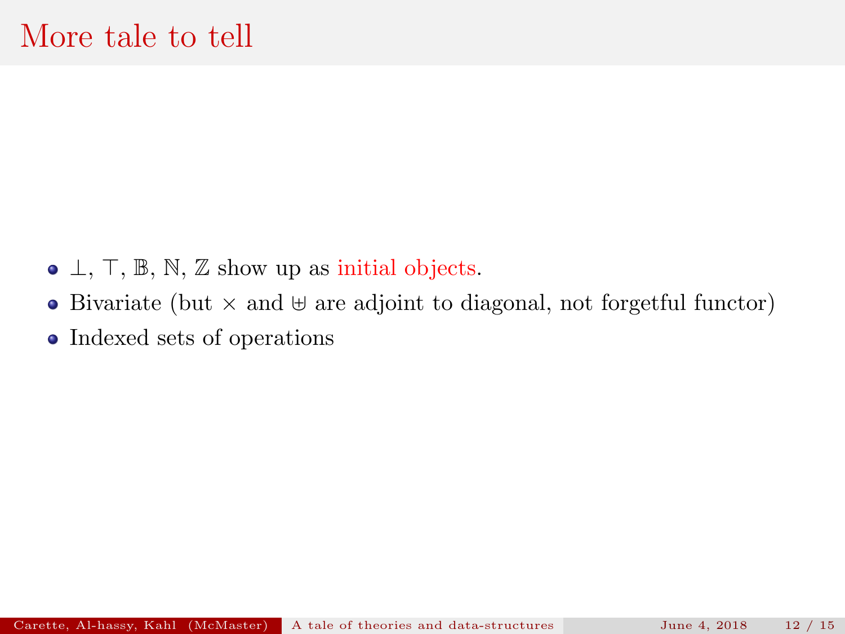- $\bullet$   $\perp$ ,  $\top$ ,  $\mathbb{B}$ ,  $\mathbb{N}$ ,  $\mathbb{Z}$  show up as initial objects.
- Bivariate (but  $\times$  and  $\uplus$  are adjoint to diagonal, not forgetful functor)
- Indexed sets of operations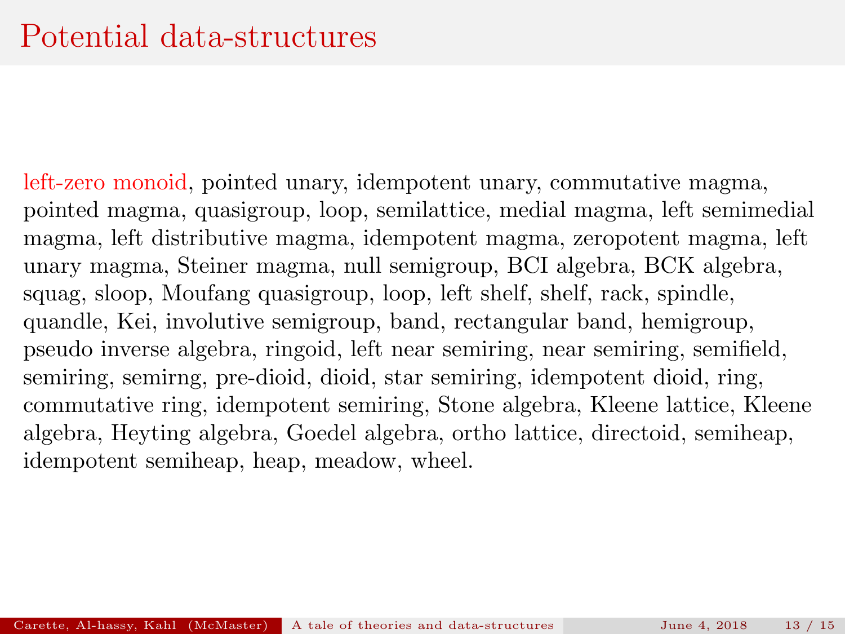left-zero monoid, pointed unary, idempotent unary, commutative magma, pointed magma, quasigroup, loop, semilattice, medial magma, left semimedial magma, left distributive magma, idempotent magma, zeropotent magma, left unary magma, Steiner magma, null semigroup, BCI algebra, BCK algebra, squag, sloop, Moufang quasigroup, loop, left shelf, shelf, rack, spindle, quandle, Kei, involutive semigroup, band, rectangular band, hemigroup, pseudo inverse algebra, ringoid, left near semiring, near semiring, semifield, semiring, semirng, pre-dioid, dioid, star semiring, idempotent dioid, ring, commutative ring, idempotent semiring, Stone algebra, Kleene lattice, Kleene algebra, Heyting algebra, Goedel algebra, ortho lattice, directoid, semiheap, idempotent semiheap, heap, meadow, wheel.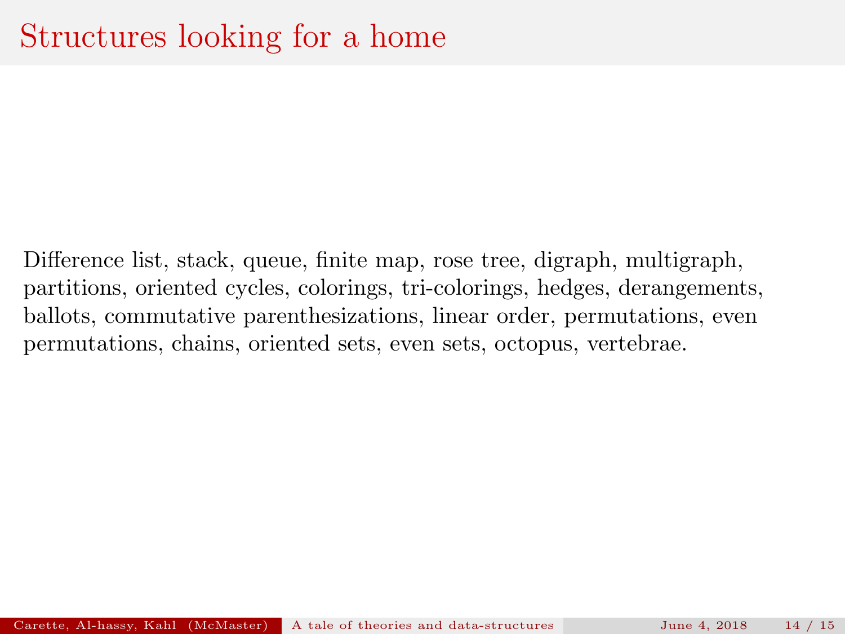Difference list, stack, queue, finite map, rose tree, digraph, multigraph, partitions, oriented cycles, colorings, tri-colorings, hedges, derangements, ballots, commutative parenthesizations, linear order, permutations, even permutations, chains, oriented sets, even sets, octopus, vertebrae.